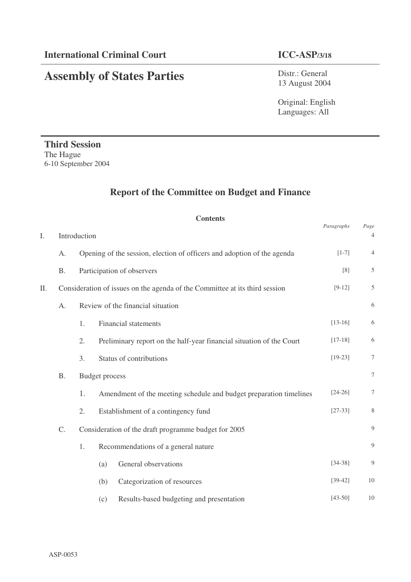# **Assembly of States Parties**

Distr.: General 13 August 2004

Original: English Languages: All

*Paragraphs Page*

**Third Session** The Hague 6-10 September 2004

## **Report of the Committee on Budget and Finance**

# **Contents**

| I. |           | Introduction |                                                                             |             | $\overline{4}$ |
|----|-----------|--------------|-----------------------------------------------------------------------------|-------------|----------------|
|    | А.        |              | Opening of the session, election of officers and adoption of the agenda     | $[1-7]$     | $\overline{4}$ |
|    | <b>B.</b> |              | Participation of observers                                                  | [8]         | 5              |
| П. |           |              | Consideration of issues on the agenda of the Committee at its third session | $[9-12]$    | $\sqrt{5}$     |
|    | A.        |              | Review of the financial situation                                           |             | 6              |
|    |           | 1.           | <b>Financial statements</b>                                                 | $[13-16]$   | 6              |
|    |           | 2.           | Preliminary report on the half-year financial situation of the Court        | $[17-18]$   | 6              |
|    |           | 3.           | Status of contributions                                                     | $[19-23]$   | 7              |
|    | <b>B.</b> |              | <b>Budget process</b>                                                       |             | 7              |
|    |           | 1.           | Amendment of the meeting schedule and budget preparation timelines          | $[24-26]$   | $\tau$         |
|    |           | 2.           | Establishment of a contingency fund                                         | $[27-33]$   | 8              |
|    | C.        |              | Consideration of the draft programme budget for 2005                        |             | $\overline{9}$ |
|    |           | 1.           | Recommendations of a general nature                                         |             | $\overline{9}$ |
|    |           |              | General observations<br>(a)                                                 | $[34 - 38]$ | 9              |
|    |           |              | Categorization of resources<br>(b)                                          | $[39-42]$   | 10             |
|    |           |              | Results-based budgeting and presentation<br>(c)                             | $[43 - 50]$ | 10             |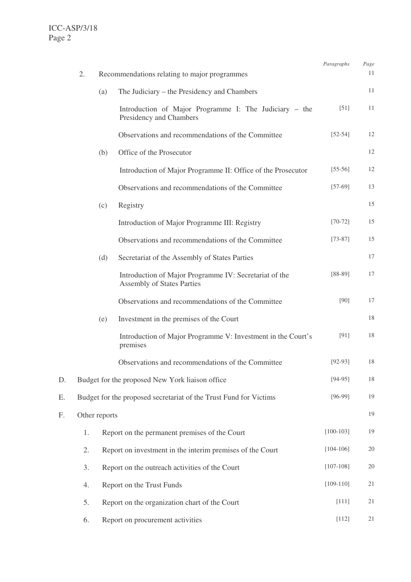|    | 2. |               | Recommendations relating to major programmes                                                | Paragraphs    | Page<br>11 |
|----|----|---------------|---------------------------------------------------------------------------------------------|---------------|------------|
|    |    | (a)           | The Judiciary – the Presidency and Chambers                                                 |               | 11         |
|    |    |               | Introduction of Major Programme I: The Judiciary – the<br>Presidency and Chambers           | $[51]$        | 11         |
|    |    |               | Observations and recommendations of the Committee                                           | $[52-54]$     | 12         |
|    |    | (b)           | Office of the Prosecutor                                                                    |               | 12         |
|    |    |               | Introduction of Major Programme II: Office of the Prosecutor                                | $[55-56]$     | 12         |
|    |    |               | Observations and recommendations of the Committee                                           | $[57-69]$     | 13         |
|    |    | (c)           | Registry                                                                                    |               | 15         |
|    |    |               | Introduction of Major Programme III: Registry                                               | $[70-72]$     | 15         |
|    |    |               | Observations and recommendations of the Committee                                           | $[73-87]$     | 15         |
|    |    | (d)           | Secretariat of the Assembly of States Parties                                               |               | 17         |
|    |    |               | Introduction of Major Programme IV: Secretariat of the<br><b>Assembly of States Parties</b> | $[88-89]$     | 17         |
|    |    |               | Observations and recommendations of the Committee                                           | $[90]$        | 17         |
|    |    | (e)           | Investment in the premises of the Court                                                     |               | 18         |
|    |    |               | Introduction of Major Programme V: Investment in the Court's<br>premises                    | [91]          | 18         |
|    |    |               | Observations and recommendations of the Committee                                           | $[92-93]$     | 18         |
| D. |    |               | Budget for the proposed New York liaison office                                             | $[94-95]$     | $18\,$     |
| Е. |    |               | Budget for the proposed secretariat of the Trust Fund for Victims                           | $[96-99]$     | 19         |
| F. |    | Other reports |                                                                                             |               | 19         |
|    | 1. |               | Report on the permanent premises of the Court                                               | $[100-103]$   | 19         |
|    | 2. |               | Report on investment in the interim premises of the Court                                   | $[104 - 106]$ | $20\,$     |
|    | 3. |               | Report on the outreach activities of the Court                                              | $[107 - 108]$ | 20         |
|    | 4. |               | Report on the Trust Funds                                                                   | $[109-110]$   | 21         |
|    | 5. |               | Report on the organization chart of the Court                                               | [111]         | 21         |
|    | 6. |               | Report on procurement activities                                                            | $[112]$       | 21         |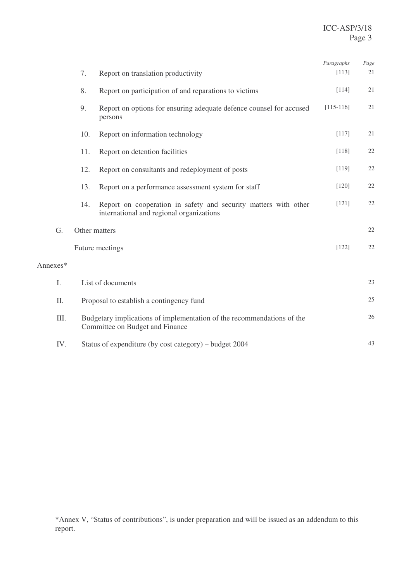|          |     |                                                                                                             | Paragraphs  | Page   |
|----------|-----|-------------------------------------------------------------------------------------------------------------|-------------|--------|
|          | 7.  | Report on translation productivity                                                                          | [113]       | 21     |
|          | 8.  | Report on participation of and reparations to victims                                                       | [114]       | $21\,$ |
|          | 9.  | Report on options for ensuring adequate defence counsel for accused<br>persons                              | $[115-116]$ | 21     |
|          | 10. | Report on information technology                                                                            | [117]       | $21\,$ |
|          | 11. | Report on detention facilities                                                                              | $[118]$     | 22     |
|          | 12. | Report on consultants and redeployment of posts                                                             | [119]       | $22\,$ |
|          | 13. | Report on a performance assessment system for staff                                                         | $[120]$     | 22     |
|          | 14. | Report on cooperation in safety and security matters with other<br>international and regional organizations | $[121]$     | $22\,$ |
| G.       |     | Other matters                                                                                               |             | 22     |
|          |     | Future meetings                                                                                             | $[122]$     | $22\,$ |
| Annexes* |     |                                                                                                             |             |        |
| I.       |     | List of documents                                                                                           |             | 23     |
| II.      |     | Proposal to establish a contingency fund                                                                    |             | 25     |
| III.     |     | Budgetary implications of implementation of the recommendations of the<br>Committee on Budget and Finance   |             | 26     |
| IV.      |     | Status of expenditure (by cost category) – budget 2004                                                      |             | 43     |

\_\_\_\_\_\_\_\_\_\_\_\_\_\_\_\_\_\_\_\_\_\_\_\_\_\_\_\_\_\_

<sup>\*</sup>Annex V, "Status of contributions", is under preparation and will be issued as an addendum to this report.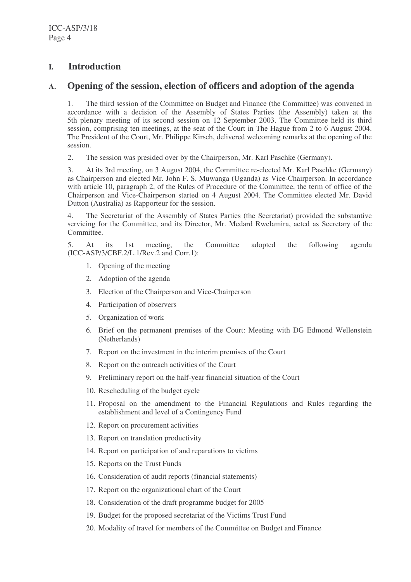### **I. Introduction**

### **A. Opening of the session, election of officers and adoption of the agenda**

1. The third session of the Committee on Budget and Finance (the Committee) was convened in accordance with a decision of the Assembly of States Parties (the Assembly) taken at the 5th plenary meeting of its second session on 12 September 2003. The Committee held its third session, comprising ten meetings, at the seat of the Court in The Hague from 2 to 6 August 2004. The President of the Court, Mr. Philippe Kirsch, delivered welcoming remarks at the opening of the session.

2. The session was presided over by the Chairperson, Mr. Karl Paschke (Germany).

3. At its 3rd meeting, on 3 August 2004, the Committee re-elected Mr. Karl Paschke (Germany) as Chairperson and elected Mr. John F. S. Muwanga (Uganda) as Vice-Chairperson. In accordance with article 10, paragraph 2, of the Rules of Procedure of the Committee, the term of office of the Chairperson and Vice-Chairperson started on 4 August 2004. The Committee elected Mr. David Dutton (Australia) as Rapporteur for the session.

4. The Secretariat of the Assembly of States Parties (the Secretariat) provided the substantive servicing for the Committee, and its Director, Mr. Medard Rwelamira, acted as Secretary of the Committee.

5. At its 1st meeting, the Committee adopted the following agenda (ICC-ASP/3/CBF.2/L.1/Rev.2 and Corr.1):

- 1. Opening of the meeting
- 2. Adoption of the agenda
- 3. Election of the Chairperson and Vice-Chairperson
- 4. Participation of observers
- 5. Organization of work
- 6. Brief on the permanent premises of the Court: Meeting with DG Edmond Wellenstein (Netherlands)
- 7. Report on the investment in the interim premises of the Court
- 8. Report on the outreach activities of the Court
- 9. Preliminary report on the half-year financial situation of the Court
- 10. Rescheduling of the budget cycle
- 11. Proposal on the amendment to the Financial Regulations and Rules regarding the establishment and level of a Contingency Fund
- 12. Report on procurement activities
- 13. Report on translation productivity
- 14. Report on participation of and reparations to victims
- 15. Reports on the Trust Funds
- 16. Consideration of audit reports (financial statements)
- 17. Report on the organizational chart of the Court
- 18. Consideration of the draft programme budget for 2005
- 19. Budget for the proposed secretariat of the Victims Trust Fund
- 20. Modality of travel for members of the Committee on Budget and Finance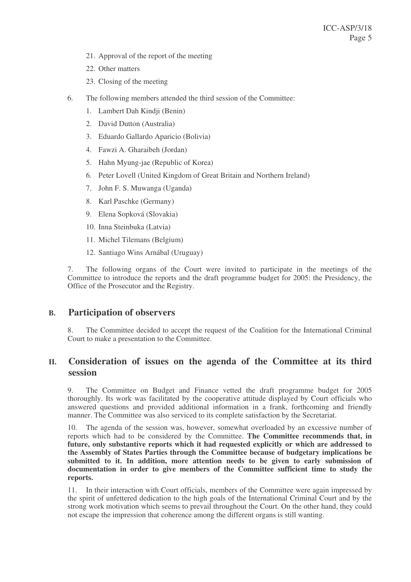- 21. Approval of the report of the meeting
- 22. Other matters
- 23. Closing of the meeting
- 6. The following members attended the third session of the Committee:
	- 1. Lambert Dah Kindji (Benin)
	- 2. David Dutton (Australia)
	- 3. Eduardo Gallardo Aparicio (Bolivia)
	- 4. Fawzi A. Gharaibeh (Jordan)
	- 5. Hahn Myung-jae (Republic of Korea)
	- 6. Peter Lovell (United Kingdom of Great Britain and Northern Ireland)
	- 7. John F. S. Muwanga (Uganda)
	- 8. Karl Paschke (Germany)
	- 9. Elena Sopková (Slovakia)
	- 10. Inna Steinbuka (Latvia)
	- 11. Michel Tilemans (Belgium)
	- 12. Santiago Wins Arnábal (Uruguay)

7. The following organs of the Court were invited to participate in the meetings of the Committee to introduce the reports and the draft programme budget for 2005: the Presidency, the Office of the Prosecutor and the Registry.

### **B. Participation of observers**

8. The Committee decided to accept the request of the Coalition for the International Criminal Court to make a presentation to the Committee.

### **II. Consideration of issues on the agenda of the Committee at its third session**

9. The Committee on Budget and Finance vetted the draft programme budget for 2005 thoroughly. Its work was facilitated by the cooperative attitude displayed by Court officials who answered questions and provided additional information in a frank, forthcoming and friendly manner. The Committee was also serviced to its complete satisfaction by the Secretariat.

10. The agenda of the session was, however, somewhat overloaded by an excessive number of reports which had to be considered by the Committee. **The Committee recommends that, in future, only substantive reports which it had requested explicitly or which are addressed to the Assembly of States Parties through the Committee because of budgetary implications be submitted to it. In addition, more attention needs to be given to early submission of documentation in order to give members of the Committee sufficient time to study the reports.**

11. In their interaction with Court officials, members of the Committee were again impressed by the spirit of unfettered dedication to the high goals of the International Criminal Court and by the strong work motivation which seems to prevail throughout the Court. On the other hand, they could not escape the impression that coherence among the different organs is still wanting.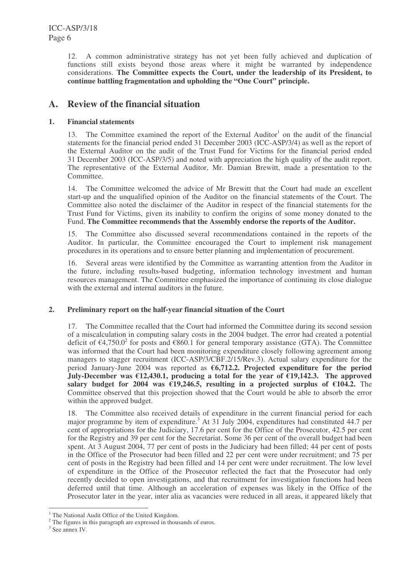12. A common administrative strategy has not yet been fully achieved and duplication of functions still exists beyond those areas where it might be warranted by independence considerations. **The Committee expects the Court, under the leadership of its President, to continue battling fragmentation and upholding the "One Court" principle.**

## **A. Review of the financial situation**

### **1. Financial statements**

13. The Committee examined the report of the External Auditor<sup>1</sup> on the audit of the financial statements for the financial period ended 31 December 2003 (ICC-ASP/3/4) as well as the report of the External Auditor on the audit of the Trust Fund for Victims for the financial period ended 31 December 2003 (ICC-ASP/3/5) and noted with appreciation the high quality of the audit report. The representative of the External Auditor, Mr. Damian Brewitt, made a presentation to the Committee.

14. The Committee welcomed the advice of Mr Brewitt that the Court had made an excellent start-up and the unqualified opinion of the Auditor on the financial statements of the Court. The Committee also noted the disclaimer of the Auditor in respect of the financial statements for the Trust Fund for Victims, given its inability to confirm the origins of some money donated to the Fund. **The Committee recommends that the Assembly endorse the reports of the Auditor.**

15. The Committee also discussed several recommendations contained in the reports of the Auditor. In particular, the Committee encouraged the Court to implement risk management procedures in its operations and to ensure better planning and implementation of procurement.

16. Several areas were identified by the Committee as warranting attention from the Auditor in the future, including results-based budgeting, information technology investment and human resources management. The Committee emphasized the importance of continuing its close dialogue with the external and internal auditors in the future.

### **2. Preliminary report on the half-year financial situation of the Court**

17. The Committee recalled that the Court had informed the Committee during its second session of a miscalculation in computing salary costs in the 2004 budget. The error had created a potential deficit of  $\epsilon$ 4,750.0<sup>2</sup> for posts and  $\epsilon$ 860.1 for general temporary assistance (GTA). The Committee was informed that the Court had been monitoring expenditure closely following agreement among managers to stagger recruitment (ICC-ASP/3/CBF.2/15/Rev.3). Actual salary expenditure for the period January-June 2004 was reported as **€6,712.2. Projected expenditure for the period July-December was €12,430.1, producing a total for the year of €19,142.3. The approved salary budget for 2004 was €19,246.5, resulting in a projected surplus of €104.2.** The Committee observed that this projection showed that the Court would be able to absorb the error within the approved budget.

18. The Committee also received details of expenditure in the current financial period for each major programme by item of expenditure.<sup>3</sup> At 31 July 2004, expenditures had constituted 44.7 per cent of appropriations for the Judiciary, 17.6 per cent for the Office of the Prosecutor, 42.5 per cent for the Registry and 39 per cent for the Secretariat. Some 36 per cent of the overall budget had been spent. At 3 August 2004, 77 per cent of posts in the Judiciary had been filled; 44 per cent of posts in the Office of the Prosecutor had been filled and 22 per cent were under recruitment; and 75 per cent of posts in the Registry had been filled and 14 per cent were under recruitment. The low level of expenditure in the Office of the Prosecutor reflected the fact that the Prosecutor had only recently decided to open investigations, and that recruitment for investigation functions had been deferred until that time. Although an acceleration of expenses was likely in the Office of the Prosecutor later in the year, inter alia as vacancies were reduced in all areas, it appeared likely that

<sup>&</sup>lt;sup>1</sup> The National Audit Office of the United Kingdom.

<sup>&</sup>lt;sup>2</sup> The figures in this paragraph are expressed in thousands of euros.

<sup>3</sup> See annex IV.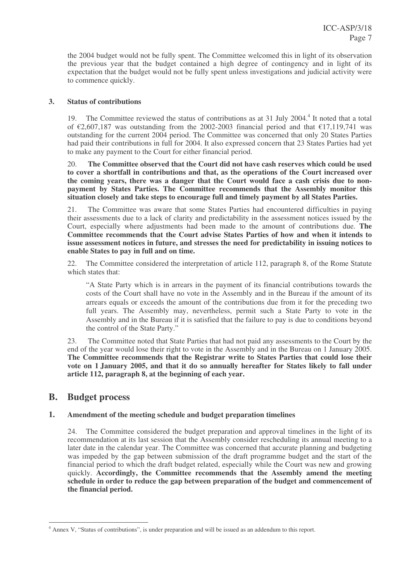the 2004 budget would not be fully spent. The Committee welcomed this in light of its observation the previous year that the budget contained a high degree of contingency and in light of its expectation that the budget would not be fully spent unless investigations and judicial activity were to commence quickly.

#### **3. Status of contributions**

19. The Committee reviewed the status of contributions as at 31 July 2004.<sup>4</sup> It noted that a total of €2,607,187 was outstanding from the 2002-2003 financial period and that €17,119,741 was outstanding for the current 2004 period. The Committee was concerned that only 20 States Parties had paid their contributions in full for 2004. It also expressed concern that 23 States Parties had yet to make any payment to the Court for either financial period.

20. **The Committee observed that the Court did not have cash reserves which could be used to cover a shortfall in contributions and that, as the operations of the Court increased over the coming years, there was a danger that the Court would face a cash crisis due to nonpayment by States Parties. The Committee recommends that the Assembly monitor this situation closely and take steps to encourage full and timely payment by all States Parties.**

21. The Committee was aware that some States Parties had encountered difficulties in paying their assessments due to a lack of clarity and predictability in the assessment notices issued by the Court, especially where adjustments had been made to the amount of contributions due. **The Committee recommends that the Court advise States Parties of how and when it intends to issue assessment notices in future, and stresses the need for predictability in issuing notices to enable States to pay in full and on time.**

22. The Committee considered the interpretation of article 112, paragraph 8, of the Rome Statute which states that:

"A State Party which is in arrears in the payment of its financial contributions towards the costs of the Court shall have no vote in the Assembly and in the Bureau if the amount of its arrears equals or exceeds the amount of the contributions due from it for the preceding two full years. The Assembly may, nevertheless, permit such a State Party to vote in the Assembly and in the Bureau if it is satisfied that the failure to pay is due to conditions beyond the control of the State Party."

23. The Committee noted that State Parties that had not paid any assessments to the Court by the end of the year would lose their right to vote in the Assembly and in the Bureau on 1 January 2005. **The Committee recommends that the Registrar write to States Parties that could lose their vote on 1 January 2005, and that it do so annually hereafter for States likely to fall under article 112, paragraph 8, at the beginning of each year.**

### **B. Budget process**

#### **1. Amendment of the meeting schedule and budget preparation timelines**

24. The Committee considered the budget preparation and approval timelines in the light of its recommendation at its last session that the Assembly consider rescheduling its annual meeting to a later date in the calendar year. The Committee was concerned that accurate planning and budgeting was impeded by the gap between submission of the draft programme budget and the start of the financial period to which the draft budget related, especially while the Court was new and growing quickly. **Accordingly, the Committee recommends that the Assembly amend the meeting schedule in order to reduce the gap between preparation of the budget and commencement of the financial period.**

<sup>4</sup> Annex V, "Status of contributions", is under preparation and will be issued as an addendum to this report.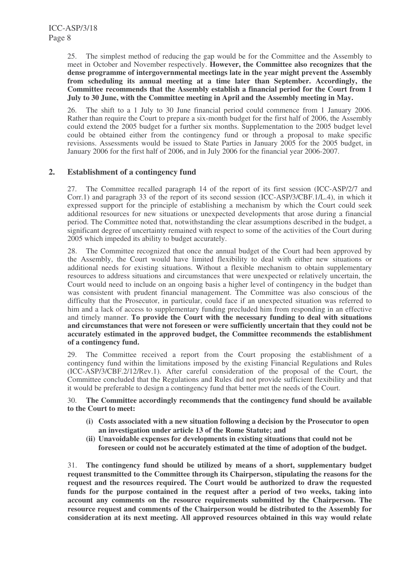25. The simplest method of reducing the gap would be for the Committee and the Assembly to meet in October and November respectively. **However, the Committee also recognizes that the dense programme of intergovernmental meetings late in the year might prevent the Assembly from scheduling its annual meeting at a time later than September. Accordingly, the Committee recommends that the Assembly establish a financial period for the Court from 1 July to 30 June, with the Committee meeting in April and the Assembly meeting in May.**

26. The shift to a 1 July to 30 June financial period could commence from 1 January 2006. Rather than require the Court to prepare a six-month budget for the first half of 2006, the Assembly could extend the 2005 budget for a further six months. Supplementation to the 2005 budget level could be obtained either from the contingency fund or through a proposal to make specific revisions. Assessments would be issued to State Parties in January 2005 for the 2005 budget, in January 2006 for the first half of 2006, and in July 2006 for the financial year 2006-2007.

### **2. Establishment of a contingency fund**

27. The Committee recalled paragraph 14 of the report of its first session (ICC-ASP/2/7 and Corr.1) and paragraph 33 of the report of its second session (ICC-ASP/3/CBF.1/L.4), in which it expressed support for the principle of establishing a mechanism by which the Court could seek additional resources for new situations or unexpected developments that arose during a financial period. The Committee noted that, notwithstanding the clear assumptions described in the budget, a significant degree of uncertainty remained with respect to some of the activities of the Court during 2005 which impeded its ability to budget accurately.

28. The Committee recognized that once the annual budget of the Court had been approved by the Assembly, the Court would have limited flexibility to deal with either new situations or additional needs for existing situations. Without a flexible mechanism to obtain supplementary resources to address situations and circumstances that were unexpected or relatively uncertain, the Court would need to include on an ongoing basis a higher level of contingency in the budget than was consistent with prudent financial management. The Committee was also conscious of the difficulty that the Prosecutor, in particular, could face if an unexpected situation was referred to him and a lack of access to supplementary funding precluded him from responding in an effective and timely manner. **To provide the Court with the necessary funding to deal with situations and circumstances that were not foreseen or were sufficiently uncertain that they could not be accurately estimated in the approved budget, the Committee recommends the establishment of a contingency fund.**

29. The Committee received a report from the Court proposing the establishment of a contingency fund within the limitations imposed by the existing Financial Regulations and Rules (ICC-ASP/3/CBF.2/12/Rev.1). After careful consideration of the proposal of the Court, the Committee concluded that the Regulations and Rules did not provide sufficient flexibility and that it would be preferable to design a contingency fund that better met the needs of the Court.

30. **The Committee accordingly recommends that the contingency fund should be available to the Court to meet:**

- **(i) Costs associated with a new situation following a decision by the Prosecutor to open an investigation under article 13 of the Rome Statute; and**
- **(ii) Unavoidable expenses for developments in existing situations that could not be foreseen or could not be accurately estimated at the time of adoption of the budget.**

31. **The contingency fund should be utilized by means of a short, supplementary budget request transmitted to the Committee through its Chairperson, stipulating the reasons for the request and the resources required. The Court would be authorized to draw the requested funds for the purpose contained in the request after a period of two weeks, taking into account any comments on the resource requirements submitted by the Chairperson. The resource request and comments of the Chairperson would be distributed to the Assembly for consideration at its next meeting. All approved resources obtained in this way would relate**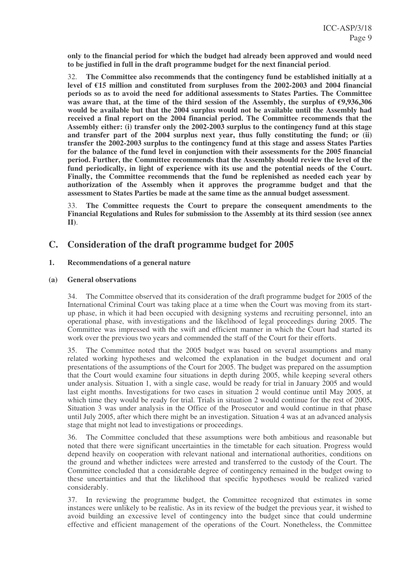**only to the financial period for which the budget had already been approved and would need to be justified in full in the draft programme budget for the next financial period**.

32. **The Committee also recommends that the contingency fund be established initially at a level of €15 million and constituted from surpluses from the 2002-2003 and 2004 financial periods so as to avoid the need for additional assessments to States Parties. The Committee was** aware that, at the time of the third session of the Assembly, the surplus of  $\epsilon$ 9,936,306 **would be available but that the 2004 surplus would not be available until the Assembly had received a final report on the 2004 financial period. The Committee recommends that the Assembly either: (i) transfer only the 2002-2003 surplus to the contingency fund at this stage and transfer part of the 2004 surplus next year, thus fully constituting the fund; or (ii) transfer the 2002-2003 surplus to the contingency fund at this stage and assess States Parties for the balance of the fund level in conjunction with their assessments for the 2005 financial period. Further, the Committee recommends that the Assembly should review the level of the fund periodically, in light of experience with its use and the potential needs of the Court. Finally, the Committee recommends that the fund be replenished as needed each year by authorization of the Assembly when it approves the programme budget and that the assessment to States Parties be made at the same time as the annual budget assessment**.

33. **The Committee requests the Court to prepare the consequent amendments to the Financial Regulations and Rules for submission to the Assembly at its third session (see annex II)**.

### **C. Consideration of the draft programme budget for 2005**

#### **1. Recommendations of a general nature**

#### **(a) General observations**

34. The Committee observed that its consideration of the draft programme budget for 2005 of the International Criminal Court was taking place at a time when the Court was moving from its startup phase, in which it had been occupied with designing systems and recruiting personnel, into an operational phase, with investigations and the likelihood of legal proceedings during 2005. The Committee was impressed with the swift and efficient manner in which the Court had started its work over the previous two years and commended the staff of the Court for their efforts.

35. The Committee noted that the 2005 budget was based on several assumptions and many related working hypotheses and welcomed the explanation in the budget document and oral presentations of the assumptions of the Court for 2005. The budget was prepared on the assumption that the Court would examine four situations in depth during 2005, while keeping several others under analysis. Situation 1, with a single case, would be ready for trial in January 2005 and would last eight months. Investigations for two cases in situation 2 would continue until May 2005, at which time they would be ready for trial. Trials in situation 2 would continue for the rest of 2005**.** Situation 3 was under analysis in the Office of the Prosecutor and would continue in that phase until July 2005, after which there might be an investigation. Situation 4 was at an advanced analysis stage that might not lead to investigations or proceedings.

36. The Committee concluded that these assumptions were both ambitious and reasonable but noted that there were significant uncertainties in the timetable for each situation. Progress would depend heavily on cooperation with relevant national and international authorities, conditions on the ground and whether indictees were arrested and transferred to the custody of the Court. The Committee concluded that a considerable degree of contingency remained in the budget owing to these uncertainties and that the likelihood that specific hypotheses would be realized varied considerably.

37. In reviewing the programme budget, the Committee recognized that estimates in some instances were unlikely to be realistic. As in its review of the budget the previous year, it wished to avoid building an excessive level of contingency into the budget since that could undermine effective and efficient management of the operations of the Court. Nonetheless, the Committee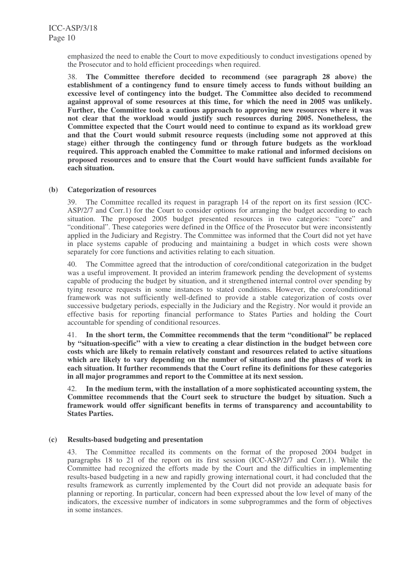emphasized the need to enable the Court to move expeditiously to conduct investigations opened by the Prosecutor and to hold efficient proceedings when required.

38. **The Committee therefore decided to recommend (see paragraph 28 above) the establishment of a contingency fund to ensure timely access to funds without building an excessive level of contingency into the budget. The Committee also decided to recommend against approval of some resources at this time, for which the need in 2005 was unlikely. Further, the Committee took a cautious approach to approving new resources where it was not clear that the workload would justify such resources during 2005. Nonetheless, the Committee expected that the Court would need to continue to expand as its workload grew and that the Court would submit resource requests (including some not approved at this stage) either through the contingency fund or through future budgets as the workload required. This approach enabled the Committee to make rational and informed decisions on proposed resources and to ensure that the Court would have sufficient funds available for each situation.**

#### **(b) Categorization of resources**

39. The Committee recalled its request in paragraph 14 of the report on its first session (ICC-ASP/2/7 and Corr.1) for the Court to consider options for arranging the budget according to each situation. The proposed 2005 budget presented resources in two categories: "core" and "conditional". These categories were defined in the Office of the Prosecutor but were inconsistently applied in the Judiciary and Registry. The Committee was informed that the Court did not yet have in place systems capable of producing and maintaining a budget in which costs were shown separately for core functions and activities relating to each situation.

40. The Committee agreed that the introduction of core/conditional categorization in the budget was a useful improvement. It provided an interim framework pending the development of systems capable of producing the budget by situation, and it strengthened internal control over spending by tying resource requests in some instances to stated conditions. However, the core/conditional framework was not sufficiently well-defined to provide a stable categorization of costs over successive budgetary periods, especially in the Judiciary and the Registry. Nor would it provide an effective basis for reporting financial performance to States Parties and holding the Court accountable for spending of conditional resources.

41. **In the short term, the Committee recommends that the term "conditional" be replaced by "situation-specific" with a view to creating a clear distinction in the budget between core costs which are likely to remain relatively constant and resources related to active situations which are likely to vary depending on the number of situations and the phases of work in each situation. It further recommends that the Court refine its definitions for these categories in all major programmes and report to the Committee at its next session.**

42. **In the medium term, with the installation of a more sophisticated accounting system, the Committee recommends that the Court seek to structure the budget by situation. Such a framework would offer significant benefits in terms of transparency and accountability to States Parties.**

### **(c) Results-based budgeting and presentation**

43. The Committee recalled its comments on the format of the proposed 2004 budget in paragraphs 18 to 21 of the report on its first session (ICC-ASP/2/7 and Corr.1). While the Committee had recognized the efforts made by the Court and the difficulties in implementing results-based budgeting in a new and rapidly growing international court, it had concluded that the results framework as currently implemented by the Court did not provide an adequate basis for planning or reporting. In particular, concern had been expressed about the low level of many of the indicators, the excessive number of indicators in some subprogrammes and the form of objectives in some instances.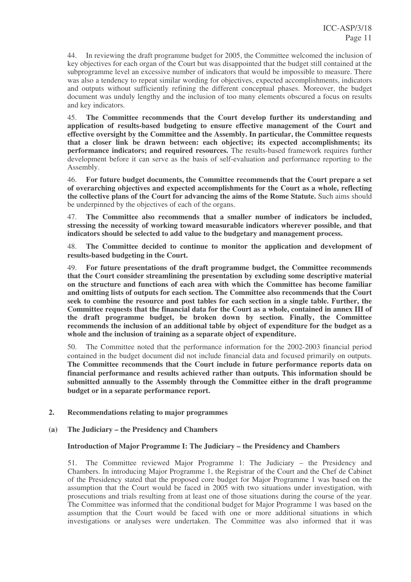44. In reviewing the draft programme budget for 2005, the Committee welcomed the inclusion of key objectives for each organ of the Court but was disappointed that the budget still contained at the subprogramme level an excessive number of indicators that would be impossible to measure. There was also a tendency to repeat similar wording for objectives, expected accomplishments, indicators and outputs without sufficiently refining the different conceptual phases. Moreover, the budget document was unduly lengthy and the inclusion of too many elements obscured a focus on results and key indicators.

45. **The Committee recommends that the Court develop further its understanding and application of results-based budgeting to ensure effective management of the Court and effective oversight by the Committee and the Assembly. In particular, the Committee requests that a closer link be drawn between: each objective; its expected accomplishments; its performance indicators; and required resources.** The results-based framework requires further development before it can serve as the basis of self-evaluation and performance reporting to the Assembly.

46. **For future budget documents, the Committee recommends that the Court prepare a set of overarching objectives and expected accomplishments for the Court as a whole, reflecting the collective plans of the Court for advancing the aims of the Rome Statute.** Such aims should be underpinned by the objectives of each of the organs.

47. **The Committee also recommends that a smaller number of indicators be included, stressing the necessity of working toward measurable indicators wherever possible, and that indicators should be selected to add value to the budgetary and management process.**

48. **The Committee decided to continue to monitor the application and development of results-based budgeting in the Court.**

49. **For future presentations of the draft programme budget, the Committee recommends that the Court consider streamlining the presentation by excluding some descriptive material on the structure and functions of each area with which the Committee has become familiar and omitting lists of outputs for each section. The Committee also recommends that the Court seek to combine the resource and post tables for each section in a single table. Further, the Committee requests that the financial data for the Court as a whole, contained in annex III of the draft programme budget, be broken down by section. Finally, the Committee recommends the inclusion of an additional table by object of expenditure for the budget as a whole and the inclusion of training as a separate object of expenditure.**

50. The Committee noted that the performance information for the 2002-2003 financial period contained in the budget document did not include financial data and focused primarily on outputs. **The Committee recommends that the Court include in future performance reports data on financial performance and results achieved rather than outputs. This information should be submitted annually to the Assembly through the Committee either in the draft programme budget or in a separate performance report.**

**2. Recommendations relating to major programmes**

#### **(a) The Judiciary – the Presidency and Chambers**

#### **Introduction of Major Programme I: The Judiciary – the Presidency and Chambers**

51. The Committee reviewed Major Programme 1: The Judiciary – the Presidency and Chambers. In introducing Major Programme 1, the Registrar of the Court and the Chef de Cabinet of the Presidency stated that the proposed core budget for Major Programme 1 was based on the assumption that the Court would be faced in 2005 with two situations under investigation, with prosecutions and trials resulting from at least one of those situations during the course of the year. The Committee was informed that the conditional budget for Major Programme 1 was based on the assumption that the Court would be faced with one or more additional situations in which investigations or analyses were undertaken. The Committee was also informed that it was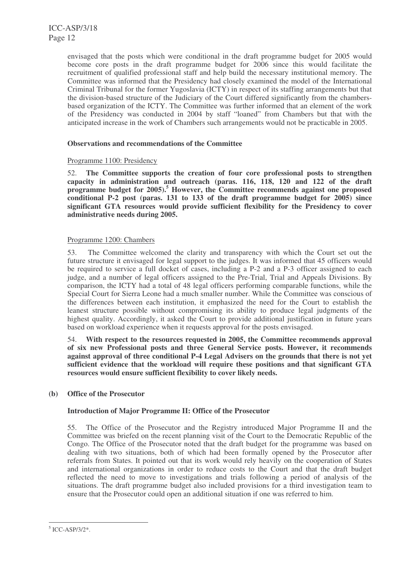envisaged that the posts which were conditional in the draft programme budget for 2005 would become core posts in the draft programme budget for 2006 since this would facilitate the recruitment of qualified professional staff and help build the necessary institutional memory. The Committee was informed that the Presidency had closely examined the model of the International Criminal Tribunal for the former Yugoslavia (ICTY) in respect of its staffing arrangements but that the division-based structure of the Judiciary of the Court differed significantly from the chambersbased organization of the ICTY. The Committee was further informed that an element of the work of the Presidency was conducted in 2004 by staff "loaned" from Chambers but that with the anticipated increase in the work of Chambers such arrangements would not be practicable in 2005.

#### **Observations and recommendations of the Committee**

#### Programme 1100: Presidency

52. **The Committee supports the creation of four core professional posts to strengthen capacity in administration and outreach (paras. 116, 118, 120 and 122 of the draft programme budget for 2005). <sup>5</sup> However, the Committee recommends against one proposed conditional P-2 post (paras. 131 to 133 of the draft programme budget for 2005) since significant GTA resources would provide sufficient flexibility for the Presidency to cover administrative needs during 2005.**

#### Programme 1200: Chambers

53. The Committee welcomed the clarity and transparency with which the Court set out the future structure it envisaged for legal support to the judges. It was informed that 45 officers would be required to service a full docket of cases, including a P-2 and a P-3 officer assigned to each judge, and a number of legal officers assigned to the Pre-Trial, Trial and Appeals Divisions. By comparison, the ICTY had a total of 48 legal officers performing comparable functions, while the Special Court for Sierra Leone had a much smaller number. While the Committee was conscious of the differences between each institution, it emphasized the need for the Court to establish the leanest structure possible without compromising its ability to produce legal judgments of the highest quality. Accordingly, it asked the Court to provide additional justification in future years based on workload experience when it requests approval for the posts envisaged.

54. **With respect to the resources requested in 2005, the Committee recommends approval of six new Professional posts and three General Service posts. However, it recommends against approval of three conditional P-4 Legal Advisers on the grounds that there is not yet sufficient evidence that the workload will require these positions and that significant GTA resources would ensure sufficient flexibility to cover likely needs.**

### **(b) Office of the Prosecutor**

#### **Introduction of Major Programme II: Office of the Prosecutor**

55. The Office of the Prosecutor and the Registry introduced Major Programme II and the Committee was briefed on the recent planning visit of the Court to the Democratic Republic of the Congo. The Office of the Prosecutor noted that the draft budget for the programme was based on dealing with two situations, both of which had been formally opened by the Prosecutor after referrals from States. It pointed out that its work would rely heavily on the cooperation of States and international organizations in order to reduce costs to the Court and that the draft budget reflected the need to move to investigations and trials following a period of analysis of the situations. The draft programme budget also included provisions for a third investigation team to ensure that the Prosecutor could open an additional situation if one was referred to him.

<sup>5</sup> ICC-ASP/3/2\*.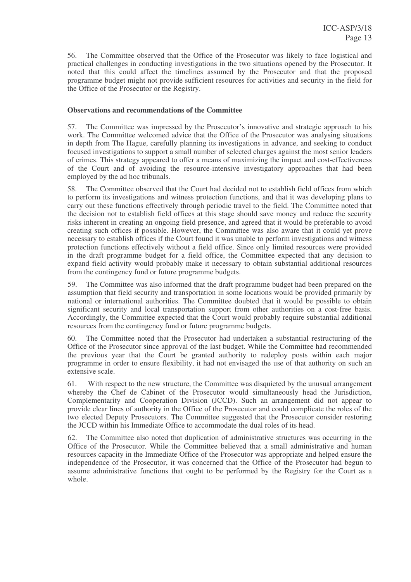56. The Committee observed that the Office of the Prosecutor was likely to face logistical and practical challenges in conducting investigations in the two situations opened by the Prosecutor. It noted that this could affect the timelines assumed by the Prosecutor and that the proposed programme budget might not provide sufficient resources for activities and security in the field for the Office of the Prosecutor or the Registry.

#### **Observations and recommendations of the Committee**

57. The Committee was impressed by the Prosecutor's innovative and strategic approach to his work. The Committee welcomed advice that the Office of the Prosecutor was analysing situations in depth from The Hague, carefully planning its investigations in advance, and seeking to conduct focused investigations to support a small number of selected charges against the most senior leaders of crimes. This strategy appeared to offer a means of maximizing the impact and cost-effectiveness of the Court and of avoiding the resource-intensive investigatory approaches that had been employed by the ad hoc tribunals.

58. The Committee observed that the Court had decided not to establish field offices from which to perform its investigations and witness protection functions, and that it was developing plans to carry out these functions effectively through periodic travel to the field. The Committee noted that the decision not to establish field offices at this stage should save money and reduce the security risks inherent in creating an ongoing field presence, and agreed that it would be preferable to avoid creating such offices if possible. However, the Committee was also aware that it could yet prove necessary to establish offices if the Court found it was unable to perform investigations and witness protection functions effectively without a field office. Since only limited resources were provided in the draft programme budget for a field office, the Committee expected that any decision to expand field activity would probably make it necessary to obtain substantial additional resources from the contingency fund or future programme budgets.

59. The Committee was also informed that the draft programme budget had been prepared on the assumption that field security and transportation in some locations would be provided primarily by national or international authorities. The Committee doubted that it would be possible to obtain significant security and local transportation support from other authorities on a cost-free basis. Accordingly, the Committee expected that the Court would probably require substantial additional resources from the contingency fund or future programme budgets.

60. The Committee noted that the Prosecutor had undertaken a substantial restructuring of the Office of the Prosecutor since approval of the last budget. While the Committee had recommended the previous year that the Court be granted authority to redeploy posts within each major programme in order to ensure flexibility, it had not envisaged the use of that authority on such an extensive scale.

61. With respect to the new structure, the Committee was disquieted by the unusual arrangement whereby the Chef de Cabinet of the Prosecutor would simultaneously head the Jurisdiction, Complementarity and Cooperation Division (JCCD). Such an arrangement did not appear to provide clear lines of authority in the Office of the Prosecutor and could complicate the roles of the two elected Deputy Prosecutors. The Committee suggested that the Prosecutor consider restoring the JCCD within his Immediate Office to accommodate the dual roles of its head.

62. The Committee also noted that duplication of administrative structures was occurring in the Office of the Prosecutor. While the Committee believed that a small administrative and human resources capacity in the Immediate Office of the Prosecutor was appropriate and helped ensure the independence of the Prosecutor, it was concerned that the Office of the Prosecutor had begun to assume administrative functions that ought to be performed by the Registry for the Court as a whole.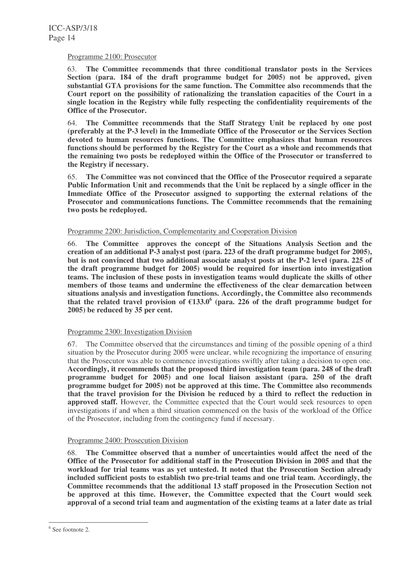#### Programme 2100: Prosecutor

63. **The Committee recommends that three conditional translator posts in the Services Section (para. 184 of the draft programme budget for 2005) not be approved, given substantial GTA provisions for the same function. The Committee also recommends that the Court report on the possibility of rationalizing the translation capacities of the Court in a single location in the Registry while fully respecting the confidentiality requirements of the Office of the Prosecutor.**

64. **The Committee recommends that the Staff Strategy Unit be replaced by one post (preferably at the P-3 level) in the Immediate Office of the Prosecutor or the Services Section devoted to human resources functions. The Committee emphasizes that human resources functions should be performed by the Registry for the Court as a whole and recommends that the remaining two posts be redeployed within the Office of the Prosecutor or transferred to the Registry if necessary.**

65. **The Committee was not convinced that the Office of the Prosecutor required a separate Public Information Unit and recommends that the Unit be replaced by a single officer in the Immediate Office of the Prosecutor assigned to supporting the external relations of the Prosecutor and communications functions. The Committee recommends that the remaining two posts be redeployed.**

#### Programme 2200: Jurisdiction, Complementarity and Cooperation Division

66. **The Committee approves the concept of the Situations Analysis Section and the creation of an additional P-3 analyst post (para. 223 of the draft programme budget for 2005), but is not convinced that two additional associate analyst posts at the P-2 level (para. 225 of the draft programme budget for 2005) would be required for insertion into investigation teams. The inclusion of these posts in investigation teams would duplicate the skills of other members of those teams and undermine the effectiveness of the clear demarcation between situations analysis and investigation functions. Accordingly, the Committee also recommends that the related travel provision of**  $\epsilon$ **133.0<sup>6</sup> (para. 226 of the draft programme budget for 2005) be reduced by 35 per cent.**

### Programme 2300: Investigation Division

67. The Committee observed that the circumstances and timing of the possible opening of a third situation by the Prosecutor during 2005 were unclear, while recognizing the importance of ensuring that the Prosecutor was able to commence investigations swiftly after taking a decision to open one. **Accordingly, it recommends that the proposed third investigation team (para. 248 of the draft programme budget for 2005) and one local liaison assistant (para. 250 of the draft programme budget for 2005) not be approved at this time. The Committee also recommends that the travel provision for the Division be reduced by a third to reflect the reduction in approved staff.** However, the Committee expected that the Court would seek resources to open investigations if and when a third situation commenced on the basis of the workload of the Office of the Prosecutor, including from the contingency fund if necessary.

#### Programme 2400: Prosecution Division

68. **The Committee observed that a number of uncertainties would affect the need of the Office of the Prosecutor for additional staff in the Prosecution Division in 2005 and that the workload for trial teams was as yet untested. It noted that the Prosecution Section already included sufficient posts to establish two pre-trial teams and one trial team. Accordingly, the Committee recommends that the additional 13 staff proposed in the Prosecution Section not be approved at this time. However, the Committee expected that the Court would seek approval of a second trial team and augmentation of the existing teams at a later date as trial**

<sup>6</sup> See footnote 2.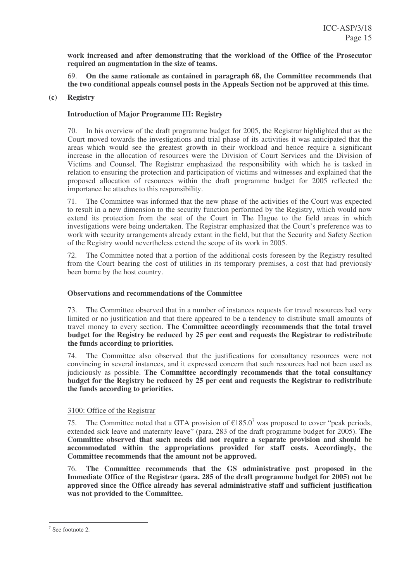**work increased and after demonstrating that the workload of the Office of the Prosecutor required an augmentation in the size of teams.**

69. **On the same rationale as contained in paragraph 68, the Committee recommends that the two conditional appeals counsel posts in the Appeals Section not be approved at this time.**

#### **(c) Registry**

#### **Introduction of Major Programme III: Registry**

70. In his overview of the draft programme budget for 2005, the Registrar highlighted that as the Court moved towards the investigations and trial phase of its activities it was anticipated that the areas which would see the greatest growth in their workload and hence require a significant increase in the allocation of resources were the Division of Court Services and the Division of Victims and Counsel. The Registrar emphasized the responsibility with which he is tasked in relation to ensuring the protection and participation of victims and witnesses and explained that the proposed allocation of resources within the draft programme budget for 2005 reflected the importance he attaches to this responsibility.

71. The Committee was informed that the new phase of the activities of the Court was expected to result in a new dimension to the security function performed by the Registry, which would now extend its protection from the seat of the Court in The Hague to the field areas in which investigations were being undertaken. The Registrar emphasized that the Court's preference was to work with security arrangements already extant in the field, but that the Security and Safety Section of the Registry would nevertheless extend the scope of its work in 2005.

72. The Committee noted that a portion of the additional costs foreseen by the Registry resulted from the Court bearing the cost of utilities in its temporary premises, a cost that had previously been borne by the host country.

#### **Observations and recommendations of the Committee**

73. The Committee observed that in a number of instances requests for travel resources had very limited or no justification and that there appeared to be a tendency to distribute small amounts of travel money to every section. **The Committee accordingly recommends that the total travel budget for the Registry be reduced by 25 per cent and requests the Registrar to redistribute the funds according to priorities.**

74. The Committee also observed that the justifications for consultancy resources were not convincing in several instances, and it expressed concern that such resources had not been used as judiciously as possible. **The Committee accordingly recommends that the total consultancy budget for the Registry be reduced by 25 per cent and requests the Registrar to redistribute the funds according to priorities.**

#### 3100: Office of the Registrar

75. The Committee noted that a GTA provision of  $\epsilon$ 185.0<sup>7</sup> was proposed to cover "peak periods, extended sick leave and maternity leave" (para. 283 of the draft programme budget for 2005). **The Committee observed that such needs did not require a separate provision and should be accommodated within the appropriations provided for staff costs. Accordingly, the Committee recommends that the amount not be approved.**

76. **The Committee recommends that the GS administrative post proposed in the Immediate Office of the Registrar (para. 285 of the draft programme budget for 2005) not be approved since the Office already has several administrative staff and sufficient justification was not provided to the Committee.**

<sup>7</sup> See footnote 2.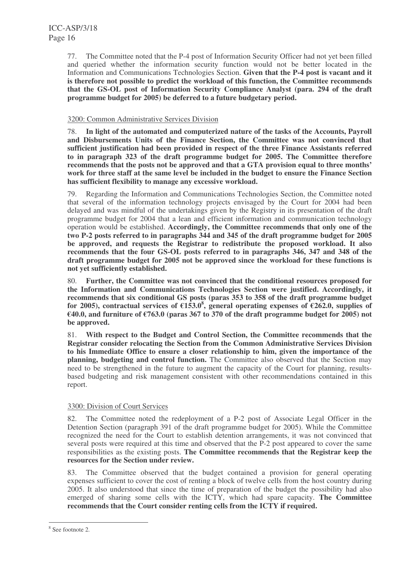77. The Committee noted that the P-4 post of Information Security Officer had not yet been filled and queried whether the information security function would not be better located in the Information and Communications Technologies Section. **Given that the P-4 post is vacant and it is therefore not possible to predict the workload of this function, the Committee recommends that the GS-OL post of Information Security Compliance Analyst (para. 294 of the draft programme budget for 2005) be deferred to a future budgetary period.**

### 3200: Common Administrative Services Division

78. **In light of the automated and computerized nature of the tasks of the Accounts, Payroll and Disbursements Units of the Finance Section, the Committee was not convinced that sufficient justification had been provided in respect of the three Finance Assistants referred to in paragraph 323 of the draft programme budget for 2005. The Committee therefore recommends that the posts not be approved and that a GTA provision equal to three months' work for three staff at the same level be included in the budget to ensure the Finance Section has sufficient flexibility to manage any excessive workload.**

79. Regarding the Information and Communications Technologies Section, the Committee noted that several of the information technology projects envisaged by the Court for 2004 had been delayed and was mindful of the undertakings given by the Registry in its presentation of the draft programme budget for 2004 that a lean and efficient information and communication technology operation would be established. **Accordingly, the Committee recommends that only one of the two P-2 posts referred to in paragraphs 344 and 345 of the draft programme budget for 2005 be approved, and requests the Registrar to redistribute the proposed workload. It also recommends that the four GS-OL posts referred to in paragraphs 346, 347 and 348 of the draft programme budget for 2005 not be approved since the workload for these functions is not yet sufficiently established.**

80. **Further, the Committee was not convinced that the conditional resources proposed for the Information and Communications Technologies Section were justified. Accordingly, it recommends that six conditional GS posts (paras 353 to 358 of the draft programme budget for** 2005), contractual services of €153.0<sup>8</sup>, general operating expenses of €262.0, supplies of **€40.0, and furniture of €763.0 (paras 367 to 370 of the draft programme budget for 2005) not be approved.**

81. **With respect to the Budget and Control Section, the Committee recommends that the Registrar consider relocating the Section from the Common Administrative Services Division to his Immediate Office to ensure a closer relationship to him, given the importance of the planning, budgeting and control function.** The Committee also observed that the Section may need to be strengthened in the future to augment the capacity of the Court for planning, resultsbased budgeting and risk management consistent with other recommendations contained in this report.

### 3300: Division of Court Services

82. The Committee noted the redeployment of a P-2 post of Associate Legal Officer in the Detention Section (paragraph 391 of the draft programme budget for 2005). While the Committee recognized the need for the Court to establish detention arrangements, it was not convinced that several posts were required at this time and observed that the P-2 post appeared to cover the same responsibilities as the existing posts. **The Committee recommends that the Registrar keep the resources for the Section under review.**

83. The Committee observed that the budget contained a provision for general operating expenses sufficient to cover the cost of renting a block of twelve cells from the host country during 2005. It also understood that since the time of preparation of the budget the possibility had also emerged of sharing some cells with the ICTY, which had spare capacity. **The Committee recommends that the Court consider renting cells from the ICTY if required.**

<sup>8</sup> See footnote 2.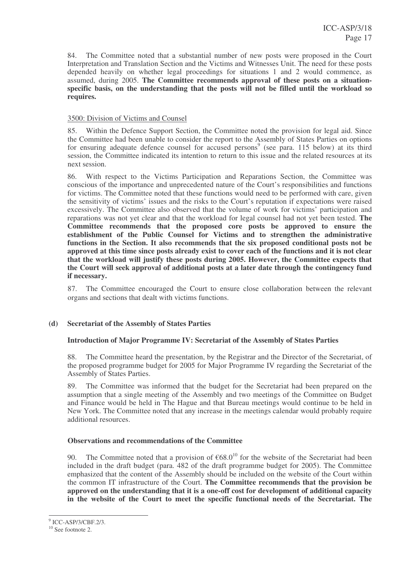84. The Committee noted that a substantial number of new posts were proposed in the Court Interpretation and Translation Section and the Victims and Witnesses Unit. The need for these posts depended heavily on whether legal proceedings for situations 1 and 2 would commence, as assumed, during 2005. **The Committee recommends approval of these posts on a situationspecific basis, on the understanding that the posts will not be filled until the workload so requires.**

#### 3500: Division of Victims and Counsel

85. Within the Defence Support Section, the Committee noted the provision for legal aid. Since the Committee had been unable to consider the report to the Assembly of States Parties on options for ensuring adequate defence counsel for accused persons<sup>9</sup> (see para. 115 below) at its third session, the Committee indicated its intention to return to this issue and the related resources at its next session.

86. With respect to the Victims Participation and Reparations Section, the Committee was conscious of the importance and unprecedented nature of the Court's responsibilities and functions for victims. The Committee noted that these functions would need to be performed with care, given the sensitivity of victims' issues and the risks to the Court's reputation if expectations were raised excessively. The Committee also observed that the volume of work for victims' participation and reparations was not yet clear and that the workload for legal counsel had not yet been tested. **The Committee recommends that the proposed core posts be approved to ensure the establishment of the Public Counsel for Victims and to strengthen the administrative functions in the Section. It also recommends that the six proposed conditional posts not be** approved at this time since posts already exist to cover each of the functions and it is not clear **that the workload will justify these posts during 2005. However, the Committee expects that the Court will seek approval of additional posts at a later date through the contingency fund if necessary.**

87. The Committee encouraged the Court to ensure close collaboration between the relevant organs and sections that dealt with victims functions.

### **(d) Secretariat of the Assembly of States Parties**

#### **Introduction of Major Programme IV: Secretariat of the Assembly of States Parties**

88. The Committee heard the presentation, by the Registrar and the Director of the Secretariat, of the proposed programme budget for 2005 for Major Programme IV regarding the Secretariat of the Assembly of States Parties.

89. The Committee was informed that the budget for the Secretariat had been prepared on the assumption that a single meeting of the Assembly and two meetings of the Committee on Budget and Finance would be held in The Hague and that Bureau meetings would continue to be held in New York. The Committee noted that any increase in the meetings calendar would probably require additional resources.

#### **Observations and recommendations of the Committee**

90. The Committee noted that a provision of  $\epsilon$ 68.0<sup>10</sup> for the website of the Secretariat had been included in the draft budget (para. 482 of the draft programme budget for 2005). The Committee emphasized that the content of the Assembly should be included on the website of the Court within the common IT infrastructure of the Court. **The Committee recommends that the provision be approved on the understanding that it is a one-off cost for development of additional capacity in the website of the Court to meet the specific functional needs of the Secretariat. The**

<sup>&</sup>lt;sup>9</sup> ICC-ASP/3/CBF.2/3.

<sup>&</sup>lt;sup>10</sup> See footnote 2.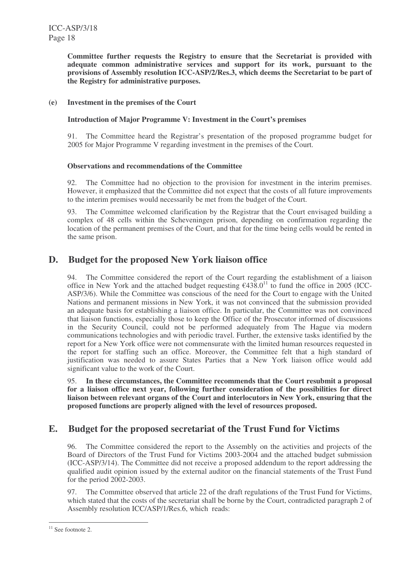**Committee further requests the Registry to ensure that the Secretariat is provided with adequate common administrative services and support for its work, pursuant to the provisions of Assembly resolution ICC-ASP/2/Res.3, which deems the Secretariat to be part of the Registry for administrative purposes.**

### **(e) Investment in the premises of the Court**

### **Introduction of Major Programme V: Investment in the Court's premises**

91. The Committee heard the Registrar's presentation of the proposed programme budget for 2005 for Major Programme V regarding investment in the premises of the Court.

### **Observations and recommendations of the Committee**

92. The Committee had no objection to the provision for investment in the interim premises. However, it emphasized that the Committee did not expect that the costs of all future improvements to the interim premises would necessarily be met from the budget of the Court.

93. The Committee welcomed clarification by the Registrar that the Court envisaged building a complex of 48 cells within the Scheveningen prison, depending on confirmation regarding the location of the permanent premises of the Court, and that for the time being cells would be rented in the same prison.

### **D. Budget for the proposed New York liaison office**

94. The Committee considered the report of the Court regarding the establishment of a liaison office in New York and the attached budget requesting  $\epsilon$ 438.0<sup>11</sup> to fund the office in 2005 (ICC-ASP/3/6). While the Committee was conscious of the need for the Court to engage with the United Nations and permanent missions in New York, it was not convinced that the submission provided an adequate basis for establishing a liaison office. In particular, the Committee was not convinced that liaison functions, especially those to keep the Office of the Prosecutor informed of discussions in the Security Council, could not be performed adequately from The Hague via modern communications technologies and with periodic travel. Further, the extensive tasks identified by the report for a New York office were not commensurate with the limited human resources requested in the report for staffing such an office. Moreover, the Committee felt that a high standard of justification was needed to assure States Parties that a New York liaison office would add significant value to the work of the Court.

95. **In these circumstances, the Committee recommends that the Court resubmit a proposal for a liaison office next year, following further consideration of the possibilities for direct liaison between relevant organs of the Court and interlocutors in New York, ensuring that the proposed functions are properly aligned with the level of resources proposed.**

### **E. Budget for the proposed secretariat of the Trust Fund for Victims**

96. The Committee considered the report to the Assembly on the activities and projects of the Board of Directors of the Trust Fund for Victims 2003-2004 and the attached budget submission (ICC-ASP/3/14). The Committee did not receive a proposed addendum to the report addressing the qualified audit opinion issued by the external auditor on the financial statements of the Trust Fund for the period 2002-2003.

97. The Committee observed that article 22 of the draft regulations of the Trust Fund for Victims, which stated that the costs of the secretariat shall be borne by the Court, contradicted paragraph 2 of Assembly resolution ICC/ASP/1/Res.6, which reads:

<sup>&</sup>lt;sup>11</sup> See footnote 2.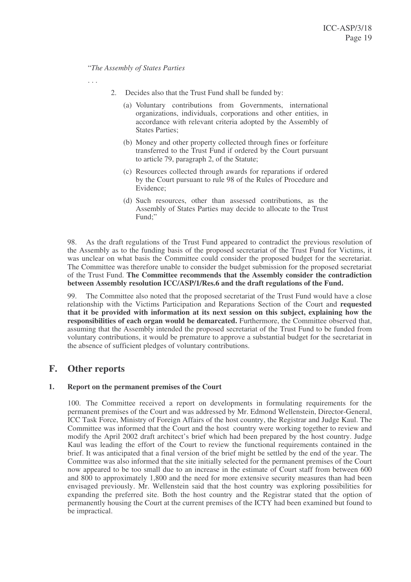"*The Assembly of States Parties*

. . .

- 2. Decides also that the Trust Fund shall be funded by:
	- (a) Voluntary contributions from Governments, international organizations, individuals, corporations and other entities, in accordance with relevant criteria adopted by the Assembly of States Parties;
	- (b) Money and other property collected through fines or forfeiture transferred to the Trust Fund if ordered by the Court pursuant to article 79, paragraph 2, of the Statute;
	- (c) Resources collected through awards for reparations if ordered by the Court pursuant to rule 98 of the Rules of Procedure and Evidence;
	- (d) Such resources, other than assessed contributions, as the Assembly of States Parties may decide to allocate to the Trust Fund;"

98. As the draft regulations of the Trust Fund appeared to contradict the previous resolution of the Assembly as to the funding basis of the proposed secretariat of the Trust Fund for Victims, it was unclear on what basis the Committee could consider the proposed budget for the secretariat. The Committee was therefore unable to consider the budget submission for the proposed secretariat of the Trust Fund. **The Committee recommends that the Assembly consider the contradiction between Assembly resolution ICC/ASP/1/Res.6 and the draft regulations of the Fund.**

99. The Committee also noted that the proposed secretariat of the Trust Fund would have a close relationship with the Victims Participation and Reparations Section of the Court and **requested that it be provided with information at its next session on this subject, explaining how the responsibilities of each organ would be demarcated.** Furthermore, the Committee observed that, assuming that the Assembly intended the proposed secretariat of the Trust Fund to be funded from voluntary contributions, it would be premature to approve a substantial budget for the secretariat in the absence of sufficient pledges of voluntary contributions.

### **F. Other reports**

#### **1. Report on the permanent premises of the Court**

100. The Committee received a report on developments in formulating requirements for the permanent premises of the Court and was addressed by Mr. Edmond Wellenstein, Director-General, ICC Task Force, Ministry of Foreign Affairs of the host country, the Registrar and Judge Kaul. The Committee was informed that the Court and the host country were working together to review and modify the April 2002 draft architect's brief which had been prepared by the host country. Judge Kaul was leading the effort of the Court to review the functional requirements contained in the brief. It was anticipated that a final version of the brief might be settled by the end of the year. The Committee was also informed that the site initially selected for the permanent premises of the Court now appeared to be too small due to an increase in the estimate of Court staff from between 600 and 800 to approximately 1,800 and the need for more extensive security measures than had been envisaged previously. Mr. Wellenstein said that the host country was exploring possibilities for expanding the preferred site. Both the host country and the Registrar stated that the option of permanently housing the Court at the current premises of the ICTY had been examined but found to be impractical.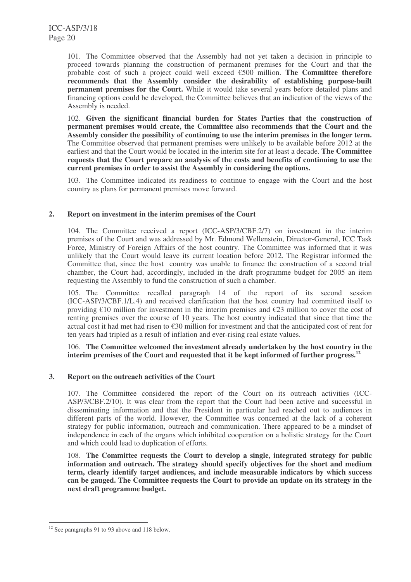101. The Committee observed that the Assembly had not yet taken a decision in principle to proceed towards planning the construction of permanent premises for the Court and that the probable cost of such a project could well exceed €500 million. **The Committee therefore recommends that the Assembly consider the desirability of establishing purpose-built permanent premises for the Court.** While it would take several years before detailed plans and financing options could be developed, the Committee believes that an indication of the views of the Assembly is needed.

102. **Given the significant financial burden for States Parties that the construction of permanent premises would create, the Committee also recommends that the Court and the Assembly consider the possibility of continuing to use the interim premises in the longer term.** The Committee observed that permanent premises were unlikely to be available before 2012 at the earliest and that the Court would be located in the interim site for at least a decade. **The Committee requests that the Court prepare an analysis of the costs and benefits of continuing to use the current premises in order to assist the Assembly in considering the options.**

103. The Committee indicated its readiness to continue to engage with the Court and the host country as plans for permanent premises move forward.

### **2. Report on investment in the interim premises of the Court**

104. The Committee received a report (ICC-ASP/3/CBF.2/7) on investment in the interim premises of the Court and was addressed by Mr. Edmond Wellenstein, Director-General, ICC Task Force, Ministry of Foreign Affairs of the host country. The Committee was informed that it was unlikely that the Court would leave its current location before 2012. The Registrar informed the Committee that, since the host country was unable to finance the construction of a second trial chamber, the Court had, accordingly, included in the draft programme budget for 2005 an item requesting the Assembly to fund the construction of such a chamber.

105. The Committee recalled paragraph 14 of the report of its second session (ICC-ASP/3/CBF.1/L.4) and received clarification that the host country had committed itself to providing €10 million for investment in the interim premises and €23 million to cover the cost of renting premises over the course of 10 years. The host country indicated that since that time the actual cost it had met had risen to €30 million for investment and that the anticipated cost of rent for ten years had tripled as a result of inflation and ever-rising real estate values.

106. **The Committee welcomed the investment already undertaken by the host country in the interim premises of the Court and requested that it be kept informed of further progress. 12**

### **3. Report on the outreach activities of the Court**

107. The Committee considered the report of the Court on its outreach activities (ICC-ASP/3/CBF.2/10). It was clear from the report that the Court had been active and successful in disseminating information and that the President in particular had reached out to audiences in different parts of the world. However, the Committee was concerned at the lack of a coherent strategy for public information, outreach and communication. There appeared to be a mindset of independence in each of the organs which inhibited cooperation on a holistic strategy for the Court and which could lead to duplication of efforts.

108. **The Committee requests the Court to develop a single, integrated strategy for public information and outreach. The strategy should specify objectives for the short and medium term, clearly identify target audiences, and include measurable indicators by which success can be gauged. The Committee requests the Court to provide an update on its strategy in the next draft programme budget.**

<sup>&</sup>lt;sup>12</sup> See paragraphs 91 to 93 above and 118 below.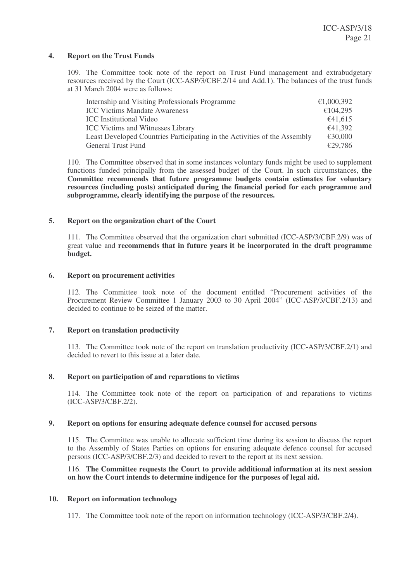#### **4. Report on the Trust Funds**

109. The Committee took note of the report on Trust Fund management and extrabudgetary resources received by the Court (ICC-ASP/3/CBF.2/14 and Add.1). The balances of the trust funds at 31 March 2004 were as follows:

| Internship and Visiting Professionals Programme                           | €1,000,392 |
|---------------------------------------------------------------------------|------------|
| <b>ICC Victims Mandate Awareness</b>                                      | €104,295   |
| <b>ICC</b> Institutional Video                                            | €41,615    |
| <b>ICC Victims and Witnesses Library</b>                                  | £41.392    |
| Least Developed Countries Participating in the Activities of the Assembly | €30,000    |
| General Trust Fund                                                        | €29,786    |

110. The Committee observed that in some instances voluntary funds might be used to supplement functions funded principally from the assessed budget of the Court. In such circumstances, **the Committee recommends that future programme budgets contain estimates for voluntary resources (including posts) anticipated during the financial period for each programme and subprogramme, clearly identifying the purpose of the resources.**

#### **5. Report on the organization chart of the Court**

111. The Committee observed that the organization chart submitted (ICC-ASP/3/CBF.2/9) was of great value and **recommends that in future years it be incorporated in the draft programme budget.**

#### **6. Report on procurement activities**

112. The Committee took note of the document entitled "Procurement activities of the Procurement Review Committee 1 January 2003 to 30 April 2004" (ICC-ASP/3/CBF.2/13) and decided to continue to be seized of the matter.

#### **7. Report on translation productivity**

113. The Committee took note of the report on translation productivity (ICC-ASP/3/CBF.2/1) and decided to revert to this issue at a later date.

#### **8. Report on participation of and reparations to victims**

114. The Committee took note of the report on participation of and reparations to victims (ICC-ASP/3/CBF.2/2).

#### **9. Report on options for ensuring adequate defence counsel for accused persons**

115. The Committee was unable to allocate sufficient time during its session to discuss the report to the Assembly of States Parties on options for ensuring adequate defence counsel for accused persons (ICC-ASP/3/CBF.2/3) and decided to revert to the report at its next session.

#### 116. **The Committee requests the Court to provide additional information at its next session on how the Court intends to determine indigence for the purposes of legal aid.**

#### **10. Report on information technology**

117. The Committee took note of the report on information technology (ICC-ASP/3/CBF.2/4).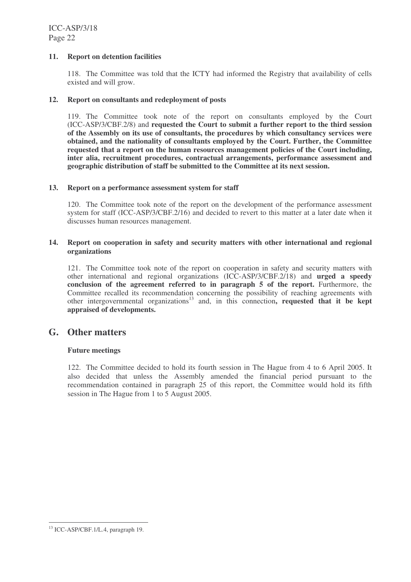### **11. Report on detention facilities**

118. The Committee was told that the ICTY had informed the Registry that availability of cells existed and will grow.

#### **12. Report on consultants and redeployment of posts**

119. The Committee took note of the report on consultants employed by the Court (ICC-ASP/3/CBF.2/8) and **requested the Court to submit a further report to the third session of the Assembly on its use of consultants, the procedures by which consultancy services were obtained, and the nationality of consultants employed by the Court. Further, the Committee requested that a report on the human resources management policies of the Court including, inter alia, recruitment procedures, contractual arrangements, performance assessment and geographic distribution of staff be submitted to the Committee at its next session.**

#### **13. Report on a performance assessment system for staff**

120. The Committee took note of the report on the development of the performance assessment system for staff (ICC-ASP/3/CBF.2/16) and decided to revert to this matter at a later date when it discusses human resources management.

#### **14. Report on cooperation in safety and security matters with other international and regional organizations**

121. The Committee took note of the report on cooperation in safety and security matters with other international and regional organizations (ICC-ASP/3/CBF.2/18) and **urged a speedy conclusion of the agreement referred to in paragraph 5 of the report.** Furthermore, the Committee recalled its recommendation concerning the possibility of reaching agreements with other intergovernmental organizations 13 and, in this connection**, requested that it be kept appraised of developments.**

### **G. Other matters**

### **Future meetings**

122. The Committee decided to hold its fourth session in The Hague from 4 to 6 April 2005. It also decided that unless the Assembly amended the financial period pursuant to the recommendation contained in paragraph 25 of this report, the Committee would hold its fifth session in The Hague from 1 to 5 August 2005.

<sup>&</sup>lt;sup>13</sup> ICC-ASP/CBF.1/L.4, paragraph 19.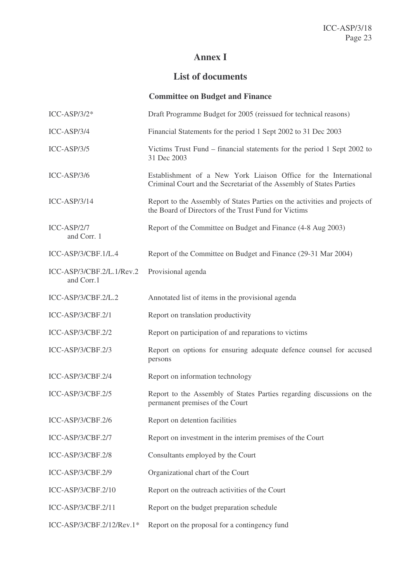## **Annex I**

## **List of documents**

**Committee on Budget and Finance**

| $ICC-ASP/3/2*$                          | Draft Programme Budget for 2005 (reissued for technical reasons)                                                                         |
|-----------------------------------------|------------------------------------------------------------------------------------------------------------------------------------------|
| ICC-ASP/3/4                             | Financial Statements for the period 1 Sept 2002 to 31 Dec 2003                                                                           |
| $ICC-ASP/3/5$                           | Victims Trust Fund – financial statements for the period 1 Sept 2002 to<br>31 Dec 2003                                                   |
| $ICC-ASP/3/6$                           | Establishment of a New York Liaison Office for the International<br>Criminal Court and the Secretariat of the Assembly of States Parties |
| $ICC-ASP/3/14$                          | Report to the Assembly of States Parties on the activities and projects of<br>the Board of Directors of the Trust Fund for Victims       |
| $ICC-ASP/2/7$<br>and Corr. 1            | Report of the Committee on Budget and Finance (4-8 Aug 2003)                                                                             |
| ICC-ASP/3/CBF.1/L.4                     | Report of the Committee on Budget and Finance (29-31 Mar 2004)                                                                           |
| ICC-ASP/3/CBF.2/L.1/Rev.2<br>and Corr.1 | Provisional agenda                                                                                                                       |
| ICC-ASP/3/CBF.2/L.2                     | Annotated list of items in the provisional agenda                                                                                        |
| ICC-ASP/3/CBF.2/1                       | Report on translation productivity                                                                                                       |
| ICC-ASP/3/CBF.2/2                       | Report on participation of and reparations to victims                                                                                    |
| ICC-ASP/3/CBF.2/3                       | Report on options for ensuring adequate defence counsel for accused<br>persons                                                           |
| ICC-ASP/3/CBF.2/4                       | Report on information technology                                                                                                         |
| ICC-ASP/3/CBF.2/5                       | Report to the Assembly of States Parties regarding discussions on the<br>permanent premises of the Court                                 |
| ICC-ASP/3/CBF.2/6                       | Report on detention facilities                                                                                                           |
| ICC-ASP/3/CBF.2/7                       | Report on investment in the interim premises of the Court                                                                                |
| ICC-ASP/3/CBF.2/8                       | Consultants employed by the Court                                                                                                        |
| ICC-ASP/3/CBF.2/9                       | Organizational chart of the Court                                                                                                        |
| ICC-ASP/3/CBF.2/10                      | Report on the outreach activities of the Court                                                                                           |
| ICC-ASP/3/CBF.2/11                      | Report on the budget preparation schedule                                                                                                |
| ICC-ASP/3/CBF.2/12/Rev.1*               | Report on the proposal for a contingency fund                                                                                            |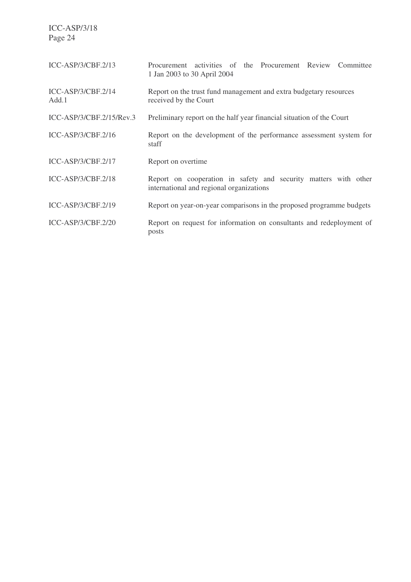ICC-ASP/3/18 Page 24

| $ICC-ASP/3/CBF.2/13$        | Procurement activities of the Procurement Review Committee<br>1 Jan 2003 to 30 April 2004                   |
|-----------------------------|-------------------------------------------------------------------------------------------------------------|
| ICC-ASP/3/CBF.2/14<br>Add.1 | Report on the trust fund management and extra budgetary resources<br>received by the Court                  |
| ICC-ASP/3/CBF.2/15/Rev.3    | Preliminary report on the half year financial situation of the Court                                        |
| $ICC-ASP/3/CBF.2/16$        | Report on the development of the performance assessment system for<br>staff                                 |
| $ICC-ASP/3/CBF.2/17$        | Report on overtime.                                                                                         |
| $ICC-ASP/3/CBF.2/18$        | Report on cooperation in safety and security matters with other<br>international and regional organizations |
| ICC-ASP/3/CBF.2/19          | Report on year-on-year comparisons in the proposed programme budgets                                        |
| ICC-ASP/3/CBF.2/20          | Report on request for information on consultants and redeployment of<br>posts                               |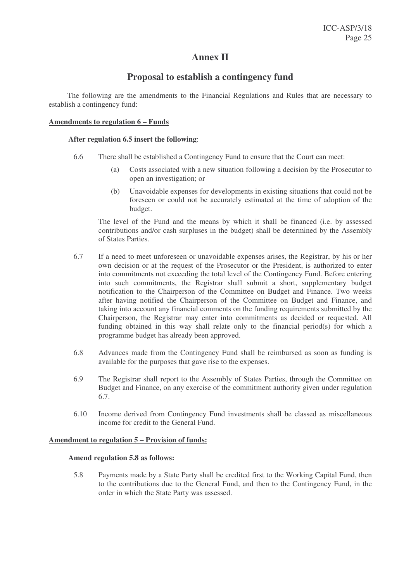## **Annex II**

### **Proposal to establish a contingency fund**

The following are the amendments to the Financial Regulations and Rules that are necessary to establish a contingency fund:

### **Amendments to regulation 6 – Funds**

#### **After regulation 6.5 insert the following**:

- 6.6 There shall be established a Contingency Fund to ensure that the Court can meet:
	- (a) Costs associated with a new situation following a decision by the Prosecutor to open an investigation; or
	- (b) Unavoidable expenses for developments in existing situations that could not be foreseen or could not be accurately estimated at the time of adoption of the budget.

The level of the Fund and the means by which it shall be financed (i.e. by assessed contributions and/or cash surpluses in the budget) shall be determined by the Assembly of States Parties.

- 6.7 If a need to meet unforeseen or unavoidable expenses arises, the Registrar, by his or her own decision or at the request of the Prosecutor or the President, is authorized to enter into commitments not exceeding the total level of the Contingency Fund. Before entering into such commitments, the Registrar shall submit a short, supplementary budget notification to the Chairperson of the Committee on Budget and Finance. Two weeks after having notified the Chairperson of the Committee on Budget and Finance, and taking into account any financial comments on the funding requirements submitted by the Chairperson, the Registrar may enter into commitments as decided or requested. All funding obtained in this way shall relate only to the financial period(s) for which a programme budget has already been approved.
- 6.8 Advances made from the Contingency Fund shall be reimbursed as soon as funding is available for the purposes that gave rise to the expenses.
- 6.9 The Registrar shall report to the Assembly of States Parties, through the Committee on Budget and Finance, on any exercise of the commitment authority given under regulation 6.7.
- 6.10 Income derived from Contingency Fund investments shall be classed as miscellaneous income for credit to the General Fund.

### **Amendment to regulation 5 – Provision of funds:**

#### **Amend regulation 5.8 as follows:**

5.8 Payments made by a State Party shall be credited first to the Working Capital Fund, then to the contributions due to the General Fund, and then to the Contingency Fund, in the order in which the State Party was assessed.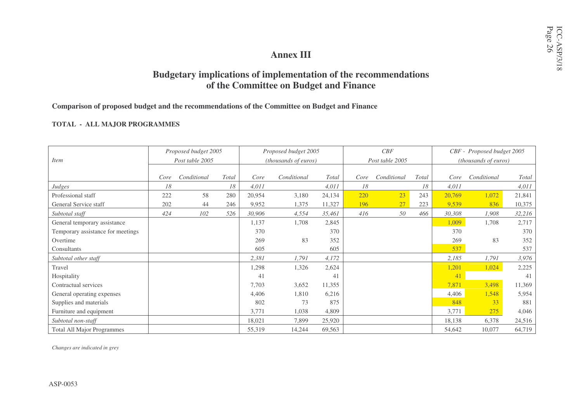## **Annex III**

## **Budgetary implications of implementation of the recommendations of the Committee on Budget and Finance**

### **Comparison of proposed budget and the recommendations of the Committee on Budget and Finance**

#### **TOTAL - ALL MAJOR PROGRAMMES**

|                                   |      | Proposed budget 2005 |              |        | Proposed budget 2005          |              |                 | CBF         |       | CBF - Proposed budget 2005  |             |        |  |
|-----------------------------------|------|----------------------|--------------|--------|-------------------------------|--------------|-----------------|-------------|-------|-----------------------------|-------------|--------|--|
| <i>Item</i>                       |      | Post table 2005      |              |        | ( <i>thousands of euros</i> ) |              | Post table 2005 |             |       | <i>(thousands of euros)</i> |             |        |  |
|                                   |      |                      |              |        |                               |              |                 |             |       |                             |             |        |  |
|                                   | Core | Conditional          | <b>Total</b> | Core   | Conditional                   | <b>Total</b> | Core            | Conditional | Total | Core                        | Conditional | Total  |  |
| Judges                            | 18   |                      | 18           | 4,011  |                               | 4,011        | 18              |             | 18    | 4,011                       |             | 4,011  |  |
| Professional staff                | 222  | 58                   | 280          | 20,954 | 3,180                         | 24,134       | 220             | 23          | 243   | 20,769                      | 1,072       | 21,841 |  |
| General Service staff             | 202  | 44                   | 246          | 9,952  | 1,375                         | 11,327       | 196             | 27          | 223   | 9,539                       | 836         | 10,375 |  |
| Subtotal staff                    | 424  | 102                  | 526          | 30,906 | 4,554                         | 35,461       | 416             | 50          | 466   | 30,308                      | 1,908       | 32,216 |  |
| General temporary assistance      |      |                      |              | 1,137  | 1,708                         | 2,845        |                 |             |       | 1,009                       | 1,708       | 2,717  |  |
| Temporary assistance for meetings |      |                      |              | 370    |                               | 370          |                 |             |       | 370                         |             | 370    |  |
| Overtime                          |      |                      |              | 269    | 83                            | 352          |                 |             |       | 269                         | 83          | 352    |  |
| Consultants                       |      |                      |              | 605    |                               | 605          |                 |             |       | 537                         |             | 537    |  |
| Subtotal other staff              |      |                      |              | 2,381  | 1,791                         | 4,172        |                 |             |       | 2,185                       | 1,791       | 3,976  |  |
| Travel                            |      |                      |              | 1,298  | 1,326                         | 2,624        |                 |             |       | 1,201                       | 1,024       | 2,225  |  |
| Hospitality                       |      |                      |              | 41     |                               | 41           |                 |             |       | 41                          |             | 41     |  |
| Contractual services              |      |                      |              | 7,703  | 3,652                         | 11,355       |                 |             |       | 7,871                       | 3,498       | 11,369 |  |
| General operating expenses        |      |                      |              | 4,406  | 1,810                         | 6,216        |                 |             |       | 4,406                       | 1,548       | 5,954  |  |
| Supplies and materials            |      |                      |              | 802    | 73                            | 875          |                 |             |       | 848                         | 33          | 881    |  |
| Furniture and equipment           |      |                      |              | 3,771  | 1,038                         | 4,809        |                 |             |       | 3,771                       | 275         | 4,046  |  |
| Subtotal non-staff                |      |                      |              | 18,021 | 7,899                         | 25,920       |                 |             |       | 18,138                      | 6,378       | 24,516 |  |
| <b>Total All Major Programmes</b> |      |                      |              | 55,319 | 14,244                        | 69,563       |                 |             |       | 54,642                      | 10,077      | 64,719 |  |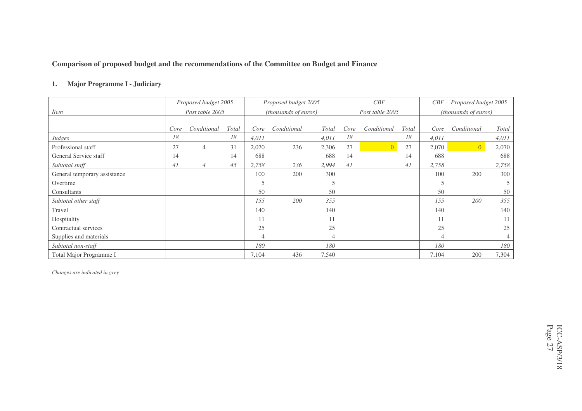### **Comparison of proposed budget and the recommendations of the Committee on Budget and Finance**

#### **1.Major Programme I - Judiciary**

|                              | Proposed budget 2005 |             |       |                             | Proposed budget 2005 |       |                 | CBF            |       | CBF - Proposed budget 2005  |                |       |
|------------------------------|----------------------|-------------|-------|-----------------------------|----------------------|-------|-----------------|----------------|-------|-----------------------------|----------------|-------|
| <i>Item</i>                  | Post table 2005      |             |       | <i>(thousands of euros)</i> |                      |       | Post table 2005 |                |       | <i>(thousands of euros)</i> |                |       |
|                              |                      |             |       |                             |                      |       |                 |                |       |                             |                |       |
|                              | Core                 | Conditional | Total | Core                        | Conditional          | Total | Core            | Conditional    | Total | Core                        | Conditional    | Total |
| Judges                       | 18                   |             | 18    | 4,011                       |                      | 4,011 | 18              |                | 18    | 4,011                       |                | 4,011 |
| Professional staff           | 27                   | 4           | 31    | 2,070                       | 236                  | 2,306 | 27              | $\overline{0}$ | 27    | 2,070                       | $\overline{0}$ | 2,070 |
| General Service staff        | 14                   |             | 14    | 688                         |                      | 688   | 14              |                | 14    | 688                         |                | 688   |
| Subtotal staff               | 41                   | 4           | 45    | 2,758                       | 236                  | 2,994 | 41              |                | 41    | 2,758                       |                | 2,758 |
| General temporary assistance |                      |             |       | 100                         | 200                  | 300   |                 |                |       | 100                         | 200            | 300   |
| Overtime                     |                      |             |       | 5                           |                      |       |                 |                |       | Ċ                           |                |       |
| Consultants                  |                      |             |       | 50                          |                      | 50    |                 |                |       | 50                          |                | 50    |
| Subtotal other staff         |                      |             |       | 155                         | 200                  | 355   |                 |                |       | 155                         | 200            | 355   |
| Travel                       |                      |             |       | 140                         |                      | 140   |                 |                |       | 140                         |                | 140   |
| Hospitality                  |                      |             |       | 11                          |                      | 11    |                 |                |       | 11                          |                | 11    |
| Contractual services         |                      |             |       | 25                          |                      | 25    |                 |                |       | 25                          |                | 25    |
| Supplies and materials       |                      |             |       | $\overline{4}$              |                      | 4     |                 |                |       | Δ                           |                |       |
| Subtotal non-staff           |                      |             |       | 180                         |                      | 180   |                 |                |       | 180                         |                | 180   |
| Total Major Programme I      |                      |             |       | 7,104                       | 436                  | 7,540 |                 |                |       | 7,104                       | 200            | 7,304 |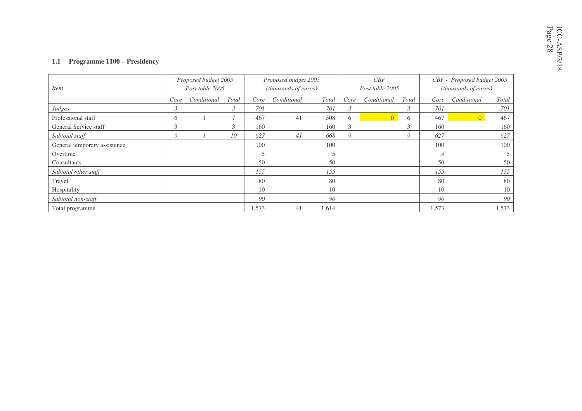#### **1.1 Programme 1100 – Presidency**

|                              |      | Proposed budget 2005 |                |                      | Proposed budget 2005 |       |      | CBF             |                          | CBF - Proposed budget 2005 |             |       |
|------------------------------|------|----------------------|----------------|----------------------|----------------------|-------|------|-----------------|--------------------------|----------------------------|-------------|-------|
| <i>Item</i>                  |      | Post table 2005      |                | (thousands of euros) |                      |       |      | Post table 2005 |                          | (thousands of euros)       |             |       |
|                              | Core | Conditional          | Total          | Core                 | Conditional          | Total | Core | Conditional     | Total                    | Core                       | Conditional | Total |
| Judges                       | 3    |                      | $\mathfrak{Z}$ | 701                  |                      | 701   | 3    |                 | $\mathfrak{Z}$           | 701                        |             | 701   |
| Professional staff           | 6    |                      | $\overline{ }$ | 467                  | 41                   | 508   | 6    | $\overline{0}$  | 6                        | 467                        |             | 467   |
| General Service staff        | 3    |                      | 3              | 160                  |                      | 160   | 3    |                 | $\sim$<br>$\mathfrak{I}$ | 160                        |             | 160   |
| Subtotal staff               | 9    |                      | 10             | 627                  | 41                   | 668   | 9    |                 | 9                        | 627                        |             | 627   |
| General temporary assistance |      |                      |                | 100                  |                      | 100   |      |                 |                          | 100                        |             | 100   |
| Overtime                     |      |                      |                |                      |                      |       |      |                 |                          |                            |             |       |
| Consultants                  |      |                      |                | 50                   |                      | 50    |      |                 |                          | 50                         |             | 50    |
| Subtotal other staff         |      |                      |                | 155                  |                      | 155   |      |                 |                          | 155                        |             | 155   |
| Travel                       |      |                      |                | 80                   |                      | 80    |      |                 |                          | 80                         |             | 80    |
| Hospitality                  |      |                      |                | 10                   |                      | 10    |      |                 |                          | 10                         |             | 10    |
| Subtotal non-staff           |      |                      |                | 90                   |                      | 90    |      |                 |                          | 90                         |             | 90    |
| Total programme              |      |                      |                | 1,573                | 41                   | 1,614 |      |                 |                          | 1,573                      |             | 1,573 |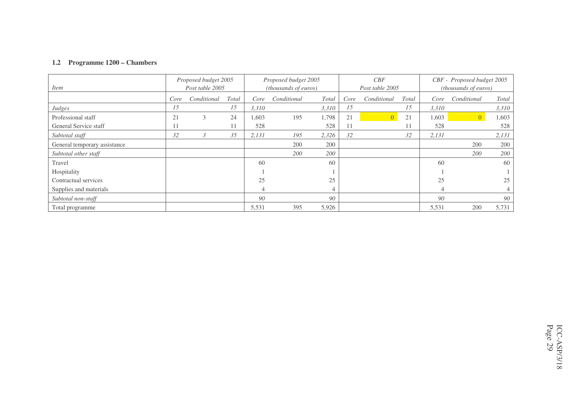#### **1.2 Programme 1200 – Chambers**

| <i>Item</i>                  |      | Proposed budget 2005<br>Post table 2005 |       |       | Proposed budget 2005<br>(thousands of euros) |       |      | CBF<br>Post table 2005 |       | CBF - Proposed budget 2005<br>(thousands of euros) |             |       |
|------------------------------|------|-----------------------------------------|-------|-------|----------------------------------------------|-------|------|------------------------|-------|----------------------------------------------------|-------------|-------|
|                              | Core | Conditional                             | Total | Core  | Conditional                                  | Total | Core | Conditional            | Total | Core                                               | Conditional | Total |
| Judges                       | 15   |                                         | 15    | 3,310 |                                              | 3,310 | 15   |                        | 15    | 3,310                                              |             | 3,310 |
| Professional staff           | 21   | 3                                       | 24    | 1,603 | 195                                          | 1,798 | 21   | $\overline{0}$         | 21    | 1,603                                              |             | 1,603 |
| General Service staff        | 11   |                                         |       | 528   |                                              | 528   | 11   |                        |       | 528                                                |             | 528   |
| Subtotal staff               | 32   |                                         | 35    | 2,131 | 195                                          | 2,326 | 32   |                        | 32    | 2,131                                              |             | 2,131 |
| General temporary assistance |      |                                         |       |       | 200                                          | 200   |      |                        |       |                                                    | 200         | 200   |
| Subtotal other staff         |      |                                         |       |       | 200                                          | 200   |      |                        |       |                                                    | 200         | 200   |
| Travel                       |      |                                         |       | 60    |                                              | 60    |      |                        |       | 60                                                 |             | 60    |
| Hospitality                  |      |                                         |       |       |                                              |       |      |                        |       |                                                    |             |       |
| Contractual services         |      |                                         |       | 25    |                                              | 25    |      |                        |       | 25                                                 |             | 25    |
| Supplies and materials       |      |                                         |       |       |                                              |       |      |                        |       |                                                    |             |       |
| Subtotal non-staff           |      |                                         |       | 90    |                                              | 90    |      |                        |       | 90                                                 |             | 90    |
| Total programme              |      |                                         |       | 5,531 | 395                                          | 5,926 |      |                        |       | 5,531                                              | 200         | 5,731 |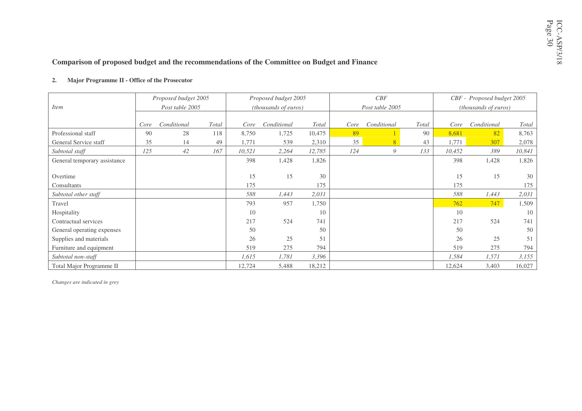### **Comparison of proposed budget and the recommendations of the Committee on Budget and Finance**

#### **2.Major Programme II - Office of the Prosecutor**

|                              |                 | Proposed budget 2005 |       |        | Proposed budget 2005 |        |      | CBF             |       |        | CBF - Proposed budget 2005  |        |
|------------------------------|-----------------|----------------------|-------|--------|----------------------|--------|------|-----------------|-------|--------|-----------------------------|--------|
| <i>Item</i>                  | Post table 2005 |                      |       |        | (thousands of euros) |        |      | Post table 2005 |       |        | <i>(thousands of euros)</i> |        |
|                              |                 |                      |       |        |                      |        |      |                 |       |        |                             |        |
|                              | Core            | Conditional          | Total | Core   | Conditional          | Total  | Core | Conditional     | Total | Core   | Conditional                 | Total  |
| Professional staff           | 90              | 28                   | 118   | 8,750  | 1,725                | 10,475 | 89   |                 | 90    | 8,681  | 82                          | 8,763  |
| General Service staff        | 35              | 14                   | 49    | 1,771  | 539                  | 2,310  | 35   |                 | 43    | 1,771  | 307                         | 2,078  |
| Subtotal staff               | 125             | 42                   | 167   | 10,521 | 2,264                | 12,785 | 124  | 9               | 133   | 10,452 | 389                         | 10,841 |
| General temporary assistance |                 |                      |       | 398    | 1,428                | 1,826  |      |                 |       | 398    | 1,428                       | 1,826  |
|                              |                 |                      |       |        |                      |        |      |                 |       |        |                             |        |
| Overtime                     |                 |                      |       | 15     | 15                   | 30     |      |                 |       | 15     | 15                          | 30     |
| Consultants                  |                 |                      |       | 175    |                      | 175    |      |                 |       | 175    |                             | 175    |
| Subtotal other staff         |                 |                      |       | 588    | 1,443                | 2,031  |      |                 |       | 588    | 1,443                       | 2,031  |
| Travel                       |                 |                      |       | 793    | 957                  | 1,750  |      |                 |       | 762    | 747                         | 1,509  |
| Hospitality                  |                 |                      |       | 10     |                      | 10     |      |                 |       | 10     |                             | 10     |
| Contractual services         |                 |                      |       | 217    | 524                  | 741    |      |                 |       | 217    | 524                         | 741    |
| General operating expenses   |                 |                      |       | 50     |                      | 50     |      |                 |       | 50     |                             | 50     |
| Supplies and materials       |                 |                      |       | 26     | 25                   | 51     |      |                 |       | 26     | 25                          | 51     |
| Furniture and equipment      |                 |                      |       | 519    | 275                  | 794    |      |                 |       | 519    | 275                         | 794    |
| Subtotal non-staff           |                 |                      |       | 1,615  | 1,781                | 3,396  |      |                 |       | 1,584  | 1,571                       | 3,155  |
| Total Major Programme II     |                 |                      |       | 12,724 | 5,488                | 18,212 |      |                 |       | 12,624 | 3,403                       | 16,027 |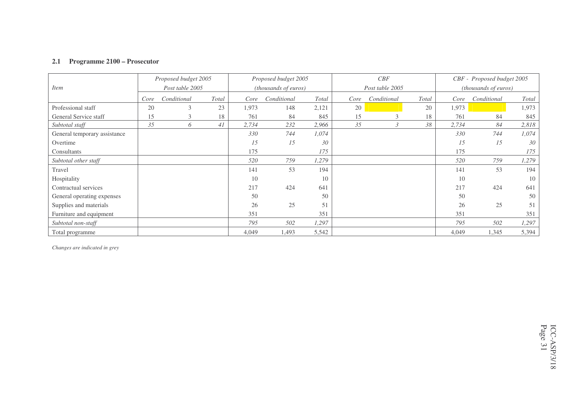#### **2.1 Programme 2100 – Prosecutor**

| <i>Item</i>                  |      | Proposed budget 2005<br>Post table 2005 |       |                             | Proposed budget 2005 |       |      | CBF<br>Post table 2005 |       |                             | CBF - Proposed budget 2005 |       |  |
|------------------------------|------|-----------------------------------------|-------|-----------------------------|----------------------|-------|------|------------------------|-------|-----------------------------|----------------------------|-------|--|
|                              |      |                                         |       | <i>(thousands of euros)</i> |                      |       |      |                        |       | <i>(thousands of euros)</i> |                            |       |  |
|                              | Core | Conditional                             | Total | Core                        | Conditional          | Total | Core | Conditional            | Total | Core                        | Conditional                | Total |  |
| Professional staff           | 20   | 3                                       | 23    | 1,973                       | 148                  | 2,121 | 20   |                        | 20    | 1,973                       |                            | 1,973 |  |
| General Service staff        | 15   |                                         | 18    | 761                         | 84                   | 845   | 15   |                        | 18    | 761                         | 84                         | 845   |  |
| Subtotal staff               | 35   | 6                                       | 41    | 2,734                       | 232                  | 2,966 | 35   | J                      | 38    | 2,734                       | 84                         | 2,818 |  |
| General temporary assistance |      |                                         |       | 330                         | 744                  | 1,074 |      |                        |       | 330                         | 744                        | 1,074 |  |
| Overtime                     |      |                                         |       | 15                          | 15                   | 30    |      |                        |       | 15                          | 15                         | 30    |  |
| Consultants                  |      |                                         |       | 175                         |                      | 175   |      |                        |       | 175                         |                            | 175   |  |
| Subtotal other staff         |      |                                         |       | 520                         | 759                  | 1,279 |      |                        |       | 520                         | 759                        | 1,279 |  |
| Travel                       |      |                                         |       | 141                         | 53                   | 194   |      |                        |       | 141                         | 53                         | 194   |  |
| Hospitality                  |      |                                         |       | 10                          |                      | 10    |      |                        |       | 10                          |                            | 10    |  |
| Contractual services         |      |                                         |       | 217                         | 424                  | 641   |      |                        |       | 217                         | 424                        | 641   |  |
| General operating expenses   |      |                                         |       | 50                          |                      | 50    |      |                        |       | 50                          |                            | 50    |  |
| Supplies and materials       |      |                                         |       | 26                          | 25                   | 51    |      |                        |       | 26                          | 25                         | 51    |  |
| Furniture and equipment      |      |                                         |       | 351                         |                      | 351   |      |                        |       | 351                         |                            | 351   |  |
| Subtotal non-staff           |      |                                         |       | 795                         | 502                  | 1,297 |      |                        |       | 795                         | 502                        | 1,297 |  |
| Total programme              |      |                                         |       | 4,049                       | 1,493                | 5,542 |      |                        |       | 4,049                       | 1,345                      | 5,394 |  |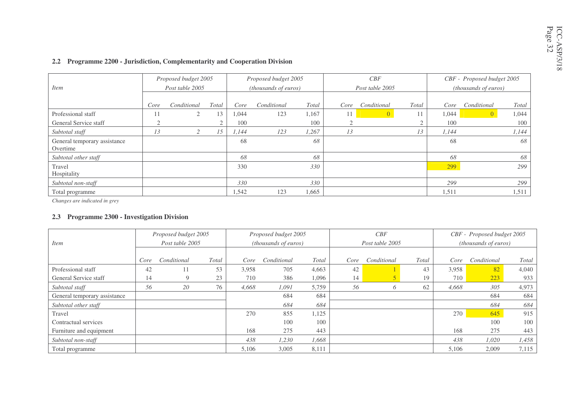| <i>Item</i>                              |      | Proposed budget 2005<br>Post table 2005 |           |       | Proposed budget 2005<br><i>(thousands of euros)</i> |       |      | CBF<br>Post table 2005 |              |       | CBF - Proposed budget 2005<br>( <i>thousands of euros</i> ) |       |
|------------------------------------------|------|-----------------------------------------|-----------|-------|-----------------------------------------------------|-------|------|------------------------|--------------|-------|-------------------------------------------------------------|-------|
|                                          |      |                                         |           |       |                                                     |       |      |                        |              |       |                                                             |       |
|                                          | Core | Conditional                             | Total     | Core  | Conditional                                         | Total | Core | Conditional            | <b>Total</b> | Core  | Conditional                                                 | Total |
| Professional staff                       |      | 2                                       | 13        | 1,044 | 123                                                 | 1,167 |      | $\overline{0}$         | 11           | 1,044 | $\overline{0}$                                              | 1,044 |
| General Service staff                    |      |                                         | $\bigcap$ | 100   |                                                     | 100   |      |                        | $\sim$       | 100   |                                                             | 100   |
| Subtotal staff                           | 13   |                                         | 15        | 1,144 | 123                                                 | 1,267 | 13   |                        | 13           | 1,144 |                                                             | 1,144 |
| General temporary assistance<br>Overtime |      |                                         |           | 68    |                                                     | 68    |      |                        |              | 68    |                                                             | 68    |
| Subtotal other staff                     |      |                                         |           | 68    |                                                     | 68    |      |                        |              | 68    |                                                             | 68    |
| Travel<br>Hospitality                    |      |                                         |           | 330   |                                                     | 330   |      |                        |              | 299   |                                                             | 299   |
| Subtotal non-staff                       |      |                                         |           | 330   |                                                     | 330   |      |                        |              | 299   |                                                             | 299   |
| Total programme                          |      |                                         |           | 1.542 | 123                                                 | 1,665 |      |                        |              | 1,511 |                                                             | 1,511 |

#### **2.2 Programme 2200 - Jurisdiction, Complementarity and Cooperation Division**

*Changes are indicated in grey*

#### **2.3 Programme 2300 - Investigation Division**

|                              |      | Proposed budget 2005 |       |       | Proposed budget 2005        |       |      | CBF             |       |       | CBF - Proposed budget 2005  |       |
|------------------------------|------|----------------------|-------|-------|-----------------------------|-------|------|-----------------|-------|-------|-----------------------------|-------|
| <i>Item</i>                  |      | Post table 2005      |       |       | <i>(thousands of euros)</i> |       |      | Post table 2005 |       |       | <i>(thousands of euros)</i> |       |
|                              |      |                      |       |       |                             |       |      |                 |       |       |                             |       |
|                              | Core | Conditional          | Total | Core  | Conditional                 | Total | Core | Conditional     | Total | Core  | Conditional                 | Total |
| Professional staff           | 42   |                      | 53    | 3,958 | 705                         | 4,663 | 42   |                 | 43    | 3,958 | 82                          | 4,040 |
| General Service staff        | 14   | 9                    | 23    | 710   | 386                         | 1,096 | 14   |                 | 19    | 710   | 223                         | 933   |
| Subtotal staff               | 56   | 20                   | 76    | 4,668 | 1,091                       | 5,759 | 56   |                 | 62    | 4,668 | 305                         | 4,973 |
| General temporary assistance |      |                      |       |       | 684                         | 684   |      |                 |       |       | 684                         | 684   |
| Subtotal other staff         |      |                      |       |       | 684                         | 684   |      |                 |       |       | 684                         | 684   |
| Travel                       |      |                      |       | 270   | 855                         | 1,125 |      |                 |       | 270   | 645                         | 915   |
| Contractual services         |      |                      |       |       | 100                         | 100   |      |                 |       |       | 100                         | 100   |
| Furniture and equipment      |      |                      |       | 168   | 275                         | 443   |      |                 |       | 168   | 275                         | 443   |
| Subtotal non-staff           |      |                      |       | 438   | 1,230                       | 1,668 |      |                 |       | 438   | 1,020                       | 1,458 |
| Total programme              |      |                      |       | 5,106 | 3,005                       | 8,111 |      |                 |       | 5,106 | 2,009                       | 7,115 |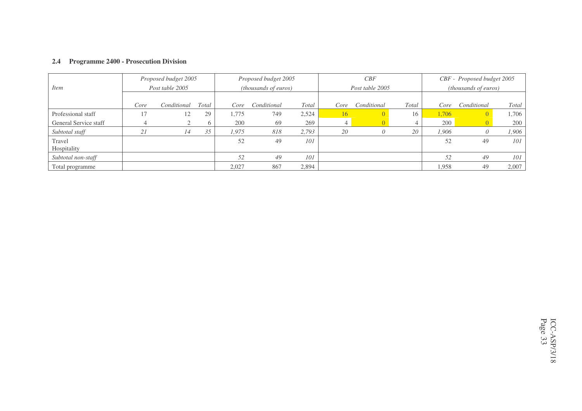#### **2.4 Programme 2400 - Prosecution Division**

|                       |      | Proposed budget 2005 |       |       | Proposed budget 2005        |       |      | CBF             |       |       | CBF - Proposed budget 2005  |       |
|-----------------------|------|----------------------|-------|-------|-----------------------------|-------|------|-----------------|-------|-------|-----------------------------|-------|
| <i>Item</i>           |      | Post table 2005      |       |       | <i>(thousands of euros)</i> |       |      | Post table 2005 |       |       | <i>(thousands of euros)</i> |       |
|                       |      |                      |       |       |                             |       |      |                 |       |       |                             |       |
|                       | Core | Conditional          | Total | Core  | Conditional                 | Total | Core | Conditional     | Total | Core  | Conditional                 | Total |
| Professional staff    | 17   | 12                   | 29    | 1,775 | 749                         | 2,524 | 16   |                 | 16    | 1,706 |                             | .706  |
| General Service staff |      |                      | h     | 200   | 69                          | 269   |      |                 |       | 200   |                             | 200   |
| Subtotal staff        | 21   | 14                   | 35    | 1,975 | 818                         | 2,793 | 20   |                 | 20    | 1.906 |                             | 1,906 |
| Travel                |      |                      |       | 52    | 49                          | 101   |      |                 |       | 52    | 49                          | 101   |
| Hospitality           |      |                      |       |       |                             |       |      |                 |       |       |                             |       |
| Subtotal non-staff    |      |                      |       | 52    | 49                          | 101   |      |                 |       | 52    | 49                          | 101   |
| Total programme       |      |                      |       | 2,027 | 867                         | 2,894 |      |                 |       | 1,958 | 49                          | 2,007 |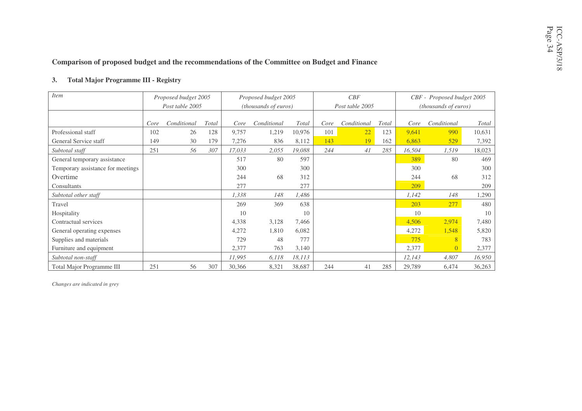### **Comparison of proposed budget and the recommendations of the Committee on Budget and Finance**

#### **3.Total Major Programme III - Registry**

| <b>Item</b>                       |      | Proposed budget 2005 |       |        | Proposed budget 2005        |        |      | CBF             |       |        | CBF - Proposed budget 2005    |        |
|-----------------------------------|------|----------------------|-------|--------|-----------------------------|--------|------|-----------------|-------|--------|-------------------------------|--------|
|                                   |      | Post table 2005      |       |        | <i>(thousands of euros)</i> |        |      | Post table 2005 |       |        | ( <i>thousands of euros</i> ) |        |
|                                   |      |                      |       |        |                             |        |      |                 |       |        |                               |        |
|                                   | Core | Conditional          | Total | Core   | Conditional                 | Total  | Core | Conditional     | Total | Core   | Conditional                   | Total  |
| Professional staff                | 102  | 26                   | 128   | 9,757  | 1,219                       | 10,976 | 101  | 22              | 123   | 9,641  | 990                           | 10,631 |
| General Service staff             | 149  | 30                   | 179   | 7,276  | 836                         | 8,112  | 143  | 19              | 162   | 6,863  | 529                           | 7,392  |
| Subtotal staff                    | 251  | 56                   | 307   | 17,033 | 2,055                       | 19,088 | 244  | 41              | 285   | 16,504 | 1,519                         | 18,023 |
| General temporary assistance      |      |                      |       | 517    | 80                          | 597    |      |                 |       | 389    | 80                            | 469    |
| Temporary assistance for meetings |      |                      |       | 300    |                             | 300    |      |                 |       | 300    |                               | 300    |
| Overtime                          |      |                      |       | 244    | 68                          | 312    |      |                 |       | 244    | 68                            | 312    |
| Consultants                       |      |                      |       | 277    |                             | 277    |      |                 |       | 209    |                               | 209    |
| Subtotal other staff              |      |                      |       | 1,338  | 148                         | 1,486  |      |                 |       | 1,142  | 148                           | 1,290  |
| Travel                            |      |                      |       | 269    | 369                         | 638    |      |                 |       | 203    | 277                           | 480    |
| Hospitality                       |      |                      |       | 10     |                             | 10     |      |                 |       | 10     |                               | 10     |
| Contractual services              |      |                      |       | 4,338  | 3,128                       | 7,466  |      |                 |       | 4,506  | 2,974                         | 7,480  |
| General operating expenses        |      |                      |       | 4,272  | 1,810                       | 6,082  |      |                 |       | 4,272  | 1,548                         | 5,820  |
| Supplies and materials            |      |                      |       | 729    | 48                          | 777    |      |                 |       | 775    | 8                             | 783    |
| Furniture and equipment           |      |                      |       | 2,377  | 763                         | 3,140  |      |                 |       | 2,377  | $\overline{0}$                | 2,377  |
| Subtotal non-staff                |      |                      |       | 11,995 | 6,118                       | 18,113 |      |                 |       | 12,143 | 4,807                         | 16,950 |
| Total Major Programme III         | 251  | 56                   | 307   | 30,366 | 8,321                       | 38,687 | 244  | 41              | 285   | 29,789 | 6,474                         | 36,263 |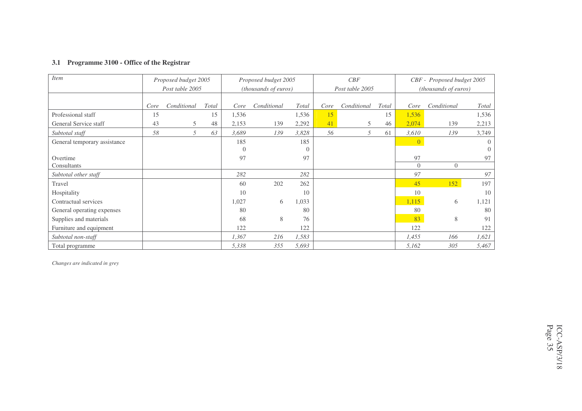#### **3.1 Programme 3100 - Office of the Registrar**

| <i>Item</i>                  |      | Proposed budget 2005 |       |          | Proposed budget 2005        |          |      | CBF             |       |                | CBF - Proposed budget 2005  |          |
|------------------------------|------|----------------------|-------|----------|-----------------------------|----------|------|-----------------|-------|----------------|-----------------------------|----------|
|                              |      | Post table 2005      |       |          | <i>(thousands of euros)</i> |          |      | Post table 2005 |       |                | <i>(thousands of euros)</i> |          |
|                              |      |                      |       |          |                             |          |      |                 |       |                |                             |          |
|                              | Core | Conditional          | Total | Core     | Conditional                 | Total    | Core | Conditional     | Total | Core           | Conditional                 | Total    |
| Professional staff           | 15   |                      | 15    | 1,536    |                             | 1,536    | 15   |                 | 15    | 1,536          |                             | 1,536    |
| General Service staff        | 43   | 5                    | 48    | 2,153    | 139                         | 2,292    | 41   | 5               | 46    | 2,074          | 139                         | 2,213    |
| Subtotal staff               | 58   | 5                    | 63    | 3,689    | 139                         | 3,828    | 56   | 5               | 61    | 3,610          | 139                         | 3,749    |
| General temporary assistance |      |                      |       | 185      |                             | 185      |      |                 |       | $\overline{0}$ |                             | $\Omega$ |
|                              |      |                      |       | $\theta$ |                             | $\Omega$ |      |                 |       |                |                             | $\Omega$ |
| Overtime                     |      |                      |       | 97       |                             | 97       |      |                 |       | 97             |                             | 97       |
| Consultants                  |      |                      |       |          |                             |          |      |                 |       | $\overline{0}$ | $\overline{0}$              |          |
| Subtotal other staff         |      |                      |       | 282      |                             | 282      |      |                 |       | 97             |                             | 97       |
| Travel                       |      |                      |       | 60       | 202                         | 262      |      |                 |       | 45             | 152                         | 197      |
| Hospitality                  |      |                      |       | 10       |                             | 10       |      |                 |       | 10             |                             | 10       |
| Contractual services         |      |                      |       | 1,027    | 6                           | 1,033    |      |                 |       | 1,115          | 6                           | 1,121    |
| General operating expenses   |      |                      |       | 80       |                             | 80       |      |                 |       | 80             |                             | 80       |
| Supplies and materials       |      |                      |       | 68       | 8                           | 76       |      |                 |       | 83             | 8                           | 91       |
| Furniture and equipment      |      |                      |       | 122      |                             | 122      |      |                 |       | 122            |                             | 122      |
| Subtotal non-staff           |      |                      |       | 1,367    | 216                         | 1,583    |      |                 |       | 1,455          | 166                         | 1,621    |
| Total programme              |      |                      |       | 5,338    | 355                         | 5,693    |      |                 |       | 5,162          | 305                         | 5,467    |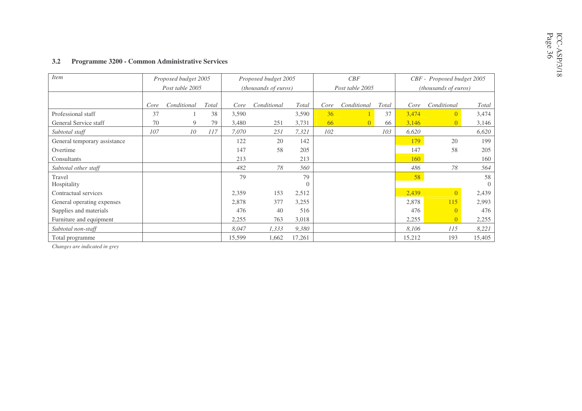#### **3.2 Programme 3200 - Common Administrative Services**

| <i>Item</i>                  |      | Proposed budget 2005 |       |        | Proposed budget 2005        |          |      | CBF             |       |        | CBF - Proposed budget 2005  |          |
|------------------------------|------|----------------------|-------|--------|-----------------------------|----------|------|-----------------|-------|--------|-----------------------------|----------|
|                              |      | Post table 2005      |       |        | <i>(thousands of euros)</i> |          |      | Post table 2005 |       |        | <i>(thousands of euros)</i> |          |
|                              |      |                      |       |        |                             |          |      |                 |       |        |                             |          |
|                              | Core | Conditional          | Total | Core   | Conditional                 | Total    | Core | Conditional     | Total | Core   | Conditional                 | Total    |
| Professional staff           | 37   |                      | 38    | 3,590  |                             | 3,590    | 36   |                 | 37    | 3,474  | $\overline{0}$              | 3,474    |
| General Service staff        | 70   | 9                    | 79    | 3,480  | 251                         | 3,731    | 66   |                 | 66    | 3,146  | $\overline{0}$              | 3,146    |
| Subtotal staff               | 107  | $10\,$               | 117   | 7,070  | 251                         | 7,321    | 102  |                 | 103   | 6,620  |                             | 6,620    |
| General temporary assistance |      |                      |       | 122    | 20                          | 142      |      |                 |       | 179    | 20                          | 199      |
| Overtime                     |      |                      |       | 147    | 58                          | 205      |      |                 |       | 147    | 58                          | 205      |
| Consultants                  |      |                      |       | 213    |                             | 213      |      |                 |       | 160    |                             | 160      |
| Subtotal other staff         |      |                      |       | 482    | 78                          | 560      |      |                 |       | 486    | 78                          | 564      |
| Travel                       |      |                      |       | 79     |                             | 79       |      |                 |       | 58     |                             | 58       |
| Hospitality                  |      |                      |       |        |                             | $\Omega$ |      |                 |       |        |                             | $\Omega$ |
| Contractual services         |      |                      |       | 2,359  | 153                         | 2,512    |      |                 |       | 2,439  | $\overline{0}$              | 2,439    |
| General operating expenses   |      |                      |       | 2,878  | 377                         | 3,255    |      |                 |       | 2,878  | 115                         | 2,993    |
| Supplies and materials       |      |                      |       | 476    | 40                          | 516      |      |                 |       | 476    | $\vert 0 \vert$             | 476      |
| Furniture and equipment      |      |                      |       | 2,255  | 763                         | 3,018    |      |                 |       | 2,255  | $\overline{0}$              | 2,255    |
| Subtotal non-staff           |      |                      |       | 8,047  | 1,333                       | 9,380    |      |                 |       | 8,106  | 115                         | 8,221    |
| Total programme              |      |                      |       | 15,599 | 1,662                       | 17,261   |      |                 |       | 15,212 | 193                         | 15,405   |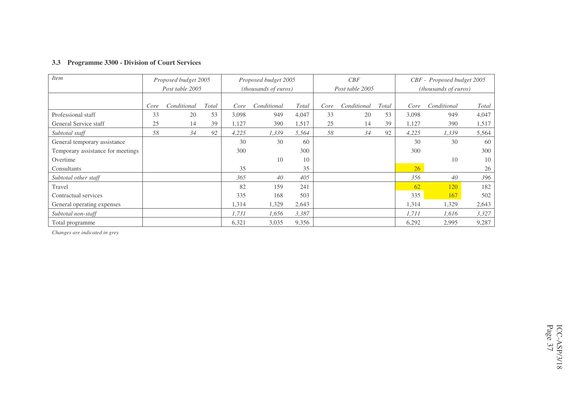#### **3.3 Programme 3300 - Division of Court Services**

| <i>Item</i>                       |      | Proposed budget 2005 |       |       | Proposed budget 2005        |       |      | CBF             |       |       | CBF - Proposed budget 2005 |       |
|-----------------------------------|------|----------------------|-------|-------|-----------------------------|-------|------|-----------------|-------|-------|----------------------------|-------|
|                                   |      | Post table 2005      |       |       | <i>(thousands of euros)</i> |       |      | Post table 2005 |       |       | (thousands of euros)       |       |
|                                   |      |                      |       |       |                             |       |      |                 |       |       |                            |       |
|                                   | Core | Conditional          | Total | Core  | Conditional                 | Total | Core | Conditional     | Total | Core  | Conditional                | Total |
| Professional staff                | 33   | 20                   | 53    | 3,098 | 949                         | 4,047 | 33   | 20              | 53    | 3,098 | 949                        | 4,047 |
| General Service staff             | 25   | 14                   | 39    | 1,127 | 390                         | 1,517 | 25   | 14              | 39    | 1,127 | 390                        | 1,517 |
| Subtotal staff                    | 58   | 34                   | 92    | 4,225 | 1,339                       | 5,564 | 58   | 34              | 92    | 4,225 | 1,339                      | 5,564 |
| General temporary assistance      |      |                      |       | 30    | 30                          | 60    |      |                 |       | 30    | 30                         | 60    |
| Temporary assistance for meetings |      |                      |       | 300   |                             | 300   |      |                 |       | 300   |                            | 300   |
| Overtime                          |      |                      |       |       | 10                          | 10    |      |                 |       |       | 10                         | 10    |
| Consultants                       |      |                      |       | 35    |                             | 35    |      |                 |       | 26    |                            | 26    |
| Subtotal other staff              |      |                      |       | 365   | 40                          | 405   |      |                 |       | 356   | 40                         | 396   |
| Travel                            |      |                      |       | 82    | 159                         | 241   |      |                 |       | 62    | 120                        | 182   |
| Contractual services              |      |                      |       | 335   | 168                         | 503   |      |                 |       | 335   | 167                        | 502   |
| General operating expenses        |      |                      |       | 1,314 | 1,329                       | 2,643 |      |                 |       | 1,314 | 1,329                      | 2,643 |
| Subtotal non-staff                |      |                      |       | 1,731 | 1,656                       | 3,387 |      |                 |       | 1,711 | 1,616                      | 3,327 |
| Total programme                   |      |                      |       | 6,321 | 3,035                       | 9,356 |      |                 |       | 6,292 | 2,995                      | 9,287 |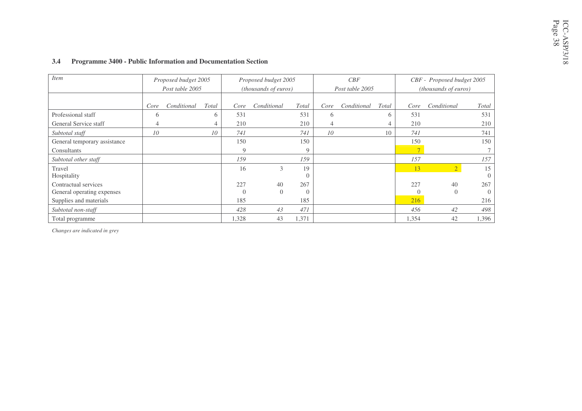| <b>Item</b>                  |                 | Proposed budget 2005 |       |       | Proposed budget 2005        |       |                 | CBF             |       |                | CBF - Proposed budget 2005  |                |
|------------------------------|-----------------|----------------------|-------|-------|-----------------------------|-------|-----------------|-----------------|-------|----------------|-----------------------------|----------------|
|                              |                 | Post table 2005      |       |       | <i>(thousands of euros)</i> |       |                 | Post table 2005 |       |                | <i>(thousands of euros)</i> |                |
|                              |                 |                      |       |       |                             |       |                 |                 |       |                |                             |                |
|                              | Core            | Conditional          | Total | Core  | Conditional                 | Total | Core            | Conditional     | Total | Core           | Conditional                 | Total          |
| Professional staff           | 6               |                      | 6     | 531   |                             | 531   | 6               |                 | 6     | 531            |                             | 531            |
| General Service staff        | 4               |                      | 4     | 210   |                             | 210   | 4               |                 | 4     | 210            |                             | 210            |
| Subtotal staff               | 10 <sup>°</sup> |                      | 10    | 741   |                             | 741   | 10 <sup>°</sup> |                 | 10    | 741            |                             | 741            |
| General temporary assistance |                 |                      |       | 150   |                             | 150   |                 |                 |       | 150            |                             | 150            |
| Consultants                  |                 |                      |       | 9     |                             | 9     |                 |                 |       | $\overline{7}$ |                             | 7              |
| Subtotal other staff         |                 |                      |       | 159   |                             | 159   |                 |                 |       | 157            |                             | 157            |
| Travel                       |                 |                      |       | 16    | 3                           | 19    |                 |                 |       | 13             | $\overline{2}$              | 15             |
| Hospitality                  |                 |                      |       |       |                             |       |                 |                 |       |                |                             | $\overline{0}$ |
| Contractual services         |                 |                      |       | 227   | 40                          | 267   |                 |                 |       | 227            | 40                          | 267            |
| General operating expenses   |                 |                      |       |       | $\Omega$                    |       |                 |                 |       |                | $\Omega$                    | $\overline{0}$ |
| Supplies and materials       |                 |                      |       | 185   |                             | 185   |                 |                 |       | 216            |                             | 216            |
| Subtotal non-staff           |                 |                      |       | 428   | 43                          | 471   |                 |                 |       | 456            | 42                          | 498            |
| Total programme              |                 |                      |       | 1,328 | 43                          | 1,371 |                 |                 |       | 1,354          | 42                          | 1,396          |

#### **3.4Programme 3400 - Public Information and Documentation Section**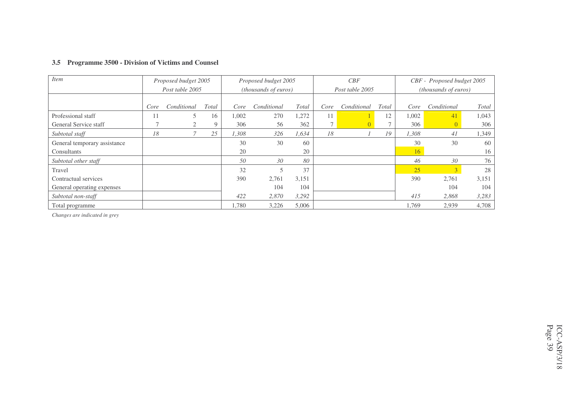|  | 3.5 Programme 3500 - Division of Victims and Counsel |  |  |  |  |  |
|--|------------------------------------------------------|--|--|--|--|--|
|--|------------------------------------------------------|--|--|--|--|--|

| <b>Item</b>                  |      | Proposed budget 2005 |       |       | Proposed budget 2005        |       |                | CBF             |       |       | CBF - Proposed budget 2005  |       |
|------------------------------|------|----------------------|-------|-------|-----------------------------|-------|----------------|-----------------|-------|-------|-----------------------------|-------|
|                              |      | Post table 2005      |       |       | <i>(thousands of euros)</i> |       |                | Post table 2005 |       |       | <i>(thousands of euros)</i> |       |
|                              |      |                      |       |       |                             |       |                |                 |       |       |                             |       |
|                              | Core | Conditional          | Total | Core  | Conditional                 | Total | Core           | Conditional     | Total | Core  | Conditional                 | Total |
| Professional staff           | 11   | 5                    | 16    | 1,002 | 270                         | 1,272 | 11             |                 | 12    | 1,002 | 41                          | 1,043 |
| General Service staff        |      | 2                    | 9     | 306   | 56                          | 362   | $\overline{ }$ | $\Omega$        |       | 306   | $\vert 0 \vert$             | 306   |
| Subtotal staff               | 18   | $\tau$               | 25    | 1,308 | 326                         | 1,634 | 18             |                 | 19    | 1,308 | 41                          | 1,349 |
| General temporary assistance |      |                      |       | 30    | 30                          | 60    |                |                 |       | 30    | 30                          | 60    |
| Consultants                  |      |                      |       | 20    |                             | 20    |                |                 |       | 16    |                             | 16    |
| Subtotal other staff         |      |                      |       | 50    | 30                          | 80    |                |                 |       | 46    | 30                          | 76    |
| Travel                       |      |                      |       | 32    |                             | 37    |                |                 |       | 25    | 3                           | 28    |
| Contractual services         |      |                      |       | 390   | 2,761                       | 3,151 |                |                 |       | 390   | 2,761                       | 3,151 |
| General operating expenses   |      |                      |       |       | 104                         | 104   |                |                 |       |       | 104                         | 104   |
| Subtotal non-staff           |      |                      |       | 422   | 2,870                       | 3,292 |                |                 |       | 415   | 2,868                       | 3,283 |
| Total programme              |      |                      |       | 1,780 | 3,226                       | 5,006 |                |                 |       | 1,769 | 2,939                       | 4,708 |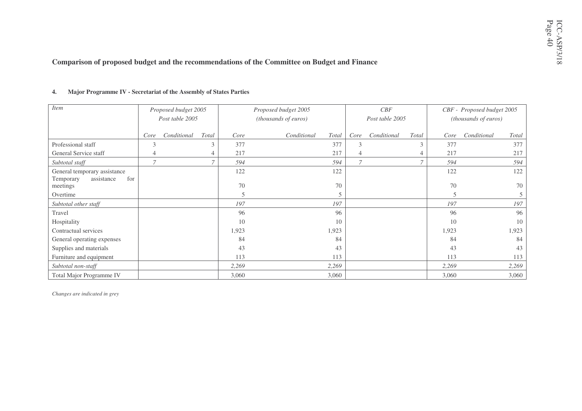### **Comparison of proposed budget and the recommendations of the Committee on Budget and Finance**

| <b>Item</b>                                                    |                | Proposed budget 2005<br>Post table 2005 |       |       | Proposed budget 2005<br><i>(thousands of euros)</i> |       |      | CBF<br>Post table 2005 |       |                          | CBF - Proposed budget 2005<br><i>(thousands of euros)</i> |       |
|----------------------------------------------------------------|----------------|-----------------------------------------|-------|-------|-----------------------------------------------------|-------|------|------------------------|-------|--------------------------|-----------------------------------------------------------|-------|
|                                                                | Core           | Conditional                             | Total | Core  | Conditional                                         | Total | Core | Conditional            | Total | Core                     | Conditional                                               | Total |
| Professional staff                                             | 3              |                                         |       | 377   |                                                     | 377   | 3    |                        | 3     | 377                      |                                                           | 377   |
| General Service staff                                          | 4              |                                         |       | 217   |                                                     | 217   | 4    |                        | 4     | 217                      |                                                           | 217   |
| Subtotal staff                                                 | $\overline{7}$ |                                         |       | 594   |                                                     | 594   | 7    |                        | 7     | 594                      |                                                           | 594   |
| General temporary assistance<br>for<br>assistance<br>Temporary |                |                                         |       | 122   |                                                     | 122   |      |                        |       | 122                      |                                                           | 122   |
| meetings                                                       |                |                                         |       | 70    |                                                     | 70    |      |                        |       | 70                       |                                                           | 70    |
| Overtime                                                       |                |                                         |       | 5     |                                                     | 5     |      |                        |       | $\overline{\mathcal{L}}$ |                                                           | 5     |
| Subtotal other staff                                           |                |                                         |       | 197   |                                                     | 197   |      |                        |       | 197                      |                                                           | 197   |
| Travel                                                         |                |                                         |       | 96    |                                                     | 96    |      |                        |       | 96                       |                                                           | 96    |
| Hospitality                                                    |                |                                         |       | 10    |                                                     | 10    |      |                        |       | 10                       |                                                           | 10    |
| Contractual services                                           |                |                                         |       | 1,923 |                                                     | 1,923 |      |                        |       | 1,923                    |                                                           | 1,923 |
| General operating expenses                                     |                |                                         |       | 84    |                                                     | 84    |      |                        |       | 84                       |                                                           | 84    |
| Supplies and materials                                         |                |                                         |       | 43    |                                                     | 43    |      |                        |       | 43                       |                                                           | 43    |
| Furniture and equipment                                        |                |                                         |       | 113   |                                                     | 113   |      |                        |       | 113                      |                                                           | 113   |
| Subtotal non-staff                                             |                |                                         |       | 2,269 |                                                     | 2,269 |      |                        |       | 2,269                    |                                                           | 2,269 |
| Total Major Programme IV                                       |                |                                         |       | 3,060 |                                                     | 3,060 |      |                        |       | 3,060                    |                                                           | 3,060 |

#### **4.Major Programme IV - Secretariat of the Assembly of States Parties**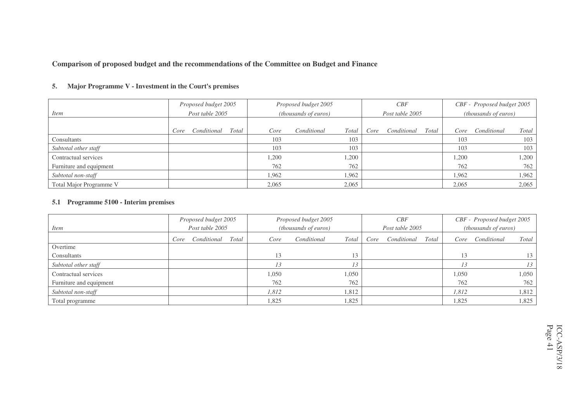**Comparison of proposed budget and the recommendations of the Committee on Budget and Finance**

#### **5.Major Programme V - Investment in the Court's premises**

|                         |      | Proposed budget 2005 |       |       | Proposed budget 2005        |       |      | CBF             |       |       | CBF - Proposed budget 2005 |       |
|-------------------------|------|----------------------|-------|-------|-----------------------------|-------|------|-----------------|-------|-------|----------------------------|-------|
| <i>Item</i>             |      | Post table 2005      |       |       | <i>(thousands of euros)</i> |       |      | Post table 2005 |       |       | (thousands of euros)       |       |
|                         |      |                      |       |       |                             |       |      |                 |       |       |                            |       |
|                         | Core | Conditional          | Total | Core  | Conditional                 | Total | Core | Conditional     | Total | Core  | Conditional                | Total |
| Consultants             |      |                      |       | 103   |                             | 103   |      |                 |       | 103   |                            | 103   |
| Subtotal other staff    |      |                      |       | 103   |                             | 103   |      |                 |       | 103   |                            | 103   |
| Contractual services    |      |                      |       | 1,200 |                             | 1,200 |      |                 |       | 1,200 |                            | ,200  |
| Furniture and equipment |      |                      |       | 762   |                             | 762   |      |                 |       | 762   |                            | 762   |
| Subtotal non-staff      |      |                      |       | 1,962 |                             | 1,962 |      |                 |       | 1,962 |                            | 1,962 |
| Total Major Programme V |      |                      |       | 2,065 |                             | 2,065 |      |                 |       | 2,065 |                            | 2,065 |

#### **5.1 Programme 5100 - Interim premises**

| <i>Item</i>             | Proposed budget 2005<br>Post table 2005 |             | Proposed budget 2005<br>(thousands of euros) |       |             | CBF<br>Post table 2005 |      |             | CBF - Proposed budget 2005<br>(thousands of euros) |       |             |       |
|-------------------------|-----------------------------------------|-------------|----------------------------------------------|-------|-------------|------------------------|------|-------------|----------------------------------------------------|-------|-------------|-------|
|                         | Core                                    | Conditional | Total                                        | Core  | Conditional | Total                  | Core | Conditional | Total                                              | Core  | Conditional | Total |
| Overtime                |                                         |             |                                              |       |             |                        |      |             |                                                    |       |             |       |
| Consultants             |                                         |             |                                              | 13    |             |                        |      |             |                                                    |       |             | 15    |
| Subtotal other staff    |                                         |             |                                              |       |             |                        |      |             |                                                    | 13    |             |       |
| Contractual services    |                                         |             |                                              | 1,050 |             | 1,050                  |      |             |                                                    | 1,050 |             | 1,050 |
| Furniture and equipment |                                         |             |                                              | 762   |             | 762                    |      |             |                                                    | 762   |             | 762   |
| Subtotal non-staff      |                                         |             |                                              | 1,812 |             | 1,812                  |      |             |                                                    | 1,812 |             | 1,812 |
| Total programme         |                                         |             |                                              | 1,825 |             | 1,825                  |      |             |                                                    | .825  |             | 1,825 |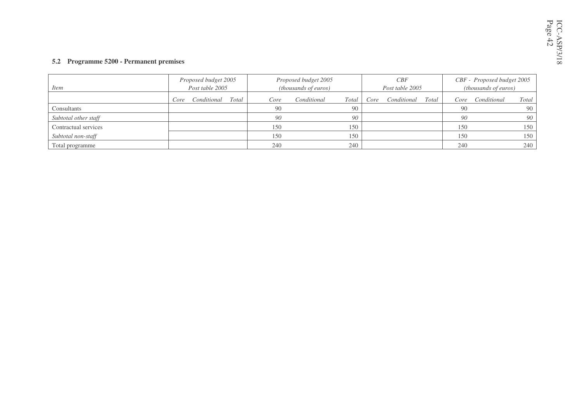#### **5.2 Programme 5200 - Permanent premises**

| Item                 | Proposed budget 2005<br>Post table 2005 |             |       | Proposed budget 2005<br>(thousands of euros) |             |              | CBF<br>Post table 2005 |             |       | CBF - Proposed budget 2005<br><i>(thousands of euros)</i> |             |       |
|----------------------|-----------------------------------------|-------------|-------|----------------------------------------------|-------------|--------------|------------------------|-------------|-------|-----------------------------------------------------------|-------------|-------|
|                      | Core                                    | Conditional | Total | Core                                         | Conditional | <b>Total</b> | Core                   | Conditional | Total | Core                                                      | Conditional | Total |
| Consultants          |                                         |             |       | 90                                           |             | 90           |                        |             |       | 90                                                        |             | 90    |
| Subtotal other staff |                                         |             |       | 90                                           |             | 90           |                        |             |       | 90                                                        |             | 90    |
| Contractual services |                                         |             |       | 150                                          |             | 150          |                        |             |       | 150                                                       |             | 150   |
| Subtotal non-staff   |                                         |             |       | 150                                          |             | 150          |                        |             |       | 150                                                       |             | 150   |
| Total programme      |                                         |             |       | 240                                          |             | 240          |                        |             |       | 240                                                       |             | 240   |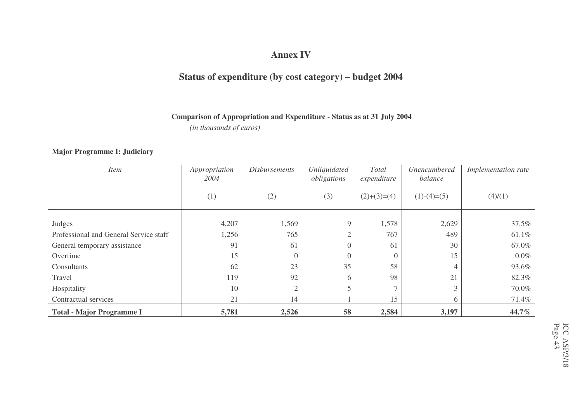### **Annex IV**

### **Status of expenditure (by cost category) – budget 2004**

**Comparison of Appropriation and Expenditure - Status as at 31 July 2004**

*(in thousands of euros)*

### **Major Programme I: Judiciary**

| <i>Item</i>                            | Appropriation<br>2004 | <b>Disbursements</b> | Unliquidated<br>obligations | Total<br>expenditure | Unencumbered<br>balance | Implementation rate |
|----------------------------------------|-----------------------|----------------------|-----------------------------|----------------------|-------------------------|---------------------|
|                                        | (1)                   | (2)                  | (3)                         | $(2)+(3)=(4)$        | $(1)-(4)=(5)$           | (4)/(1)             |
|                                        |                       |                      |                             |                      |                         |                     |
| Judges                                 | 4,207                 | 1,569                | 9                           | 1,578                | 2,629                   | 37.5%               |
| Professional and General Service staff | 1,256                 | 765                  | $\overline{2}$              | 767                  | 489                     | 61.1%               |
| General temporary assistance           | 91                    | 61                   | $\overline{0}$              | 61                   | 30                      | 67.0%               |
| Overtime                               | 15                    | $\theta$             | $\boldsymbol{0}$            | $\Omega$             | 15                      | $0.0\%$             |
| Consultants                            | 62                    | 23                   | 35                          | 58                   | $\overline{4}$          | 93.6%               |
| Travel                                 | 119                   | 92                   | 6                           | 98                   | 21                      | 82.3%               |
| Hospitality                            | 10                    | $\mathfrak{2}$       | 5                           | $\mathbf{r}$         | 3                       | 70.0%               |
| Contractual services                   | 21                    | 14                   |                             | 15                   | 6                       | 71.4%               |
| <b>Total - Major Programme I</b>       | 5,781                 | 2,526                | 58                          | 2,584                | 3,197                   | 44.7%               |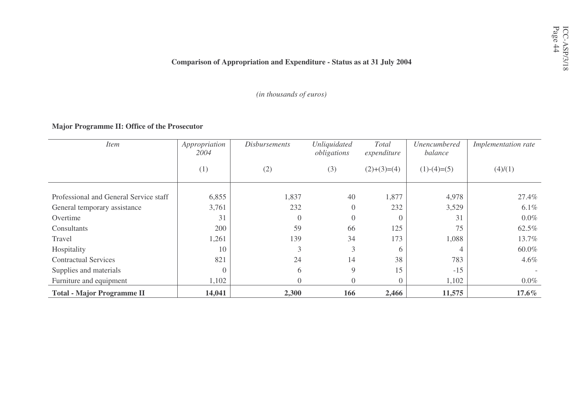### **Comparison of Appropriation and Expenditure - Status as at 31 July 2004**

*(in thousands of euros)*

### **Major Programme II: Office of the Prosecutor**

| <b>Item</b>                            | Appropriation<br>2004 | <i>Disbursements</i> | Unliquidated<br>obligations | Total<br>expenditure | Unencumbered<br>balance | Implementation rate |
|----------------------------------------|-----------------------|----------------------|-----------------------------|----------------------|-------------------------|---------------------|
|                                        | (1)                   | (2)                  | (3)                         | $(2)+(3)=(4)$        | $(1)-(4)=(5)$           | (4)/(1)             |
|                                        |                       |                      |                             |                      |                         |                     |
| Professional and General Service staff | 6,855                 | 1,837                | 40                          | 1,877                | 4,978                   | 27.4%               |
| General temporary assistance           | 3,761                 | 232                  | $\overline{0}$              | 232                  | 3,529                   | $6.1\%$             |
| Overtime                               | 31                    | $\theta$             | $\overline{0}$              |                      | 31                      | $0.0\%$             |
| Consultants                            | 200                   | 59                   | 66                          | 125                  | 75                      | 62.5%               |
| Travel                                 | 1,261                 | 139                  | 34                          | 173                  | 1,088                   | 13.7%               |
| Hospitality                            | 10                    | 3                    | 3                           | 6                    |                         | 60.0%               |
| <b>Contractual Services</b>            | 821                   | 24                   | 14                          | 38                   | 783                     | $4.6\%$             |
| Supplies and materials                 |                       | 6                    | 9                           | 15                   | $-15$                   |                     |
| Furniture and equipment                | 1,102                 | 0                    | $\overline{0}$              | $\Omega$             | 1,102                   | $0.0\%$             |
| <b>Total - Major Programme II</b>      | 14,041                | 2,300                | 166                         | 2,466                | 11,575                  | $17.6\%$            |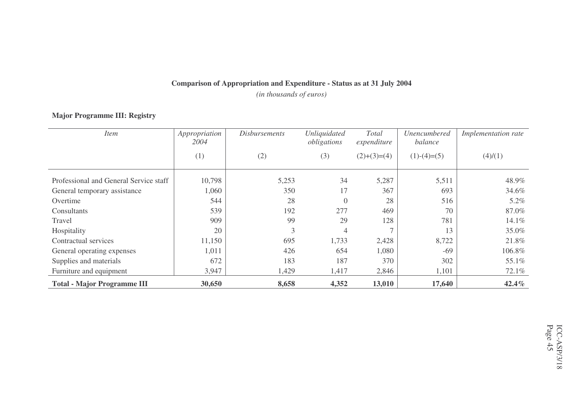### **Comparison of Appropriation and Expenditure - Status as at 31 July 2004**

*(in thousands of euros)*

### **Major Programme III: Registry**

| <i>Item</i>                            | Appropriation<br>2004 | <i>Disbursements</i> | Unliquidated<br>obligations | Total<br>expenditure | Unencumbered<br>balance | Implementation rate |
|----------------------------------------|-----------------------|----------------------|-----------------------------|----------------------|-------------------------|---------------------|
|                                        | (1)                   | (2)                  | (3)                         | $(2)+(3)=(4)$        | $(1)-(4)=(5)$           | (4)/(1)             |
| Professional and General Service staff | 10,798                | 5,253                | 34                          | 5,287                | 5,511                   | 48.9%               |
| General temporary assistance           | 1,060                 | 350                  | 17                          | 367                  | 693                     | 34.6%               |
| Overtime                               | 544                   | 28                   | $\overline{0}$              | 28                   | 516                     | 5.2%                |
| <b>Consultants</b>                     | 539                   | 192                  | 277                         | 469                  | 70                      | 87.0%               |
| Travel                                 | 909                   | 99                   | 29                          | 128                  | 781                     | 14.1%               |
| Hospitality                            | 20                    | 3                    | 4                           |                      | 13                      | 35.0%               |
| Contractual services                   | 11,150                | 695                  | 1,733                       | 2,428                | 8,722                   | 21.8%               |
| General operating expenses             | 1,011                 | 426                  | 654                         | 1,080                | $-69$                   | 106.8%              |
| Supplies and materials                 | 672                   | 183                  | 187                         | 370                  | 302                     | 55.1%               |
| Furniture and equipment                | 3,947                 | 1,429                | 1,417                       | 2,846                | 1,101                   | 72.1%               |
| <b>Total - Major Programme III</b>     | 30,650                | 8,658                | 4,352                       | 13,010               | 17,640                  | 42.4%               |